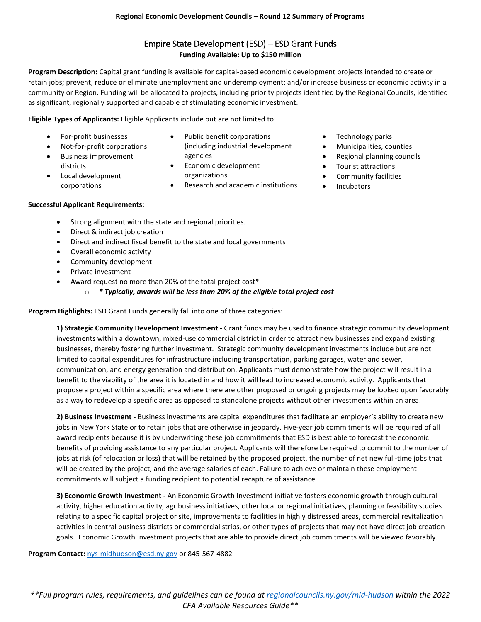# Empire State Development (ESD) – ESD Grant Funds **Funding Available: Up to \$150 million**

**Program Description:** Capital grant funding is available for capital-based economic development projects intended to create or retain jobs; prevent, reduce or eliminate unemployment and underemployment; and/or increase business or economic activity in a community or Region. Funding will be allocated to projects, including priority projects identified by the Regional Councils, identified as significant, regionally supported and capable of stimulating economic investment.

**Eligible Types of Applicants:** Eligible Applicants include but are not limited to:

- For-profit businesses
- Not-for-profit corporations
- Business improvement districts
- Local development corporations
- Public benefit corporations (including industrial development agencies
- Economic development organizations
- Research and academic institutions
- Technology parks
- Municipalities, counties
- Regional planning councils
- Tourist attractions
- Community facilities
- **Incubators**

# **Successful Applicant Requirements:**

- Strong alignment with the state and regional priorities.
- Direct & indirect job creation
- Direct and indirect fiscal benefit to the state and local governments
- Overall economic activity
- Community development
- Private investment
	- Award request no more than 20% of the total project cost\*
		- o *\* Typically, awards will be less than 20% of the eligible total project cost*

**Program Highlights:** ESD Grant Funds generally fall into one of three categories:

**1) Strategic Community Development Investment -** Grant funds may be used to finance strategic community development investments within a downtown, mixed-use commercial district in order to attract new businesses and expand existing businesses, thereby fostering further investment. Strategic community development investments include but are not limited to capital expenditures for infrastructure including transportation, parking garages, water and sewer, communication, and energy generation and distribution. Applicants must demonstrate how the project will result in a benefit to the viability of the area it is located in and how it will lead to increased economic activity. Applicants that propose a project within a specific area where there are other proposed or ongoing projects may be looked upon favorably as a way to redevelop a specific area as opposed to standalone projects without other investments within an area.

**2) Business Investment** - Business investments are capital expenditures that facilitate an employer's ability to create new jobs in New York State or to retain jobs that are otherwise in jeopardy. Five-year job commitments will be required of all award recipients because it is by underwriting these job commitments that ESD is best able to forecast the economic benefits of providing assistance to any particular project. Applicants will therefore be required to commit to the number of jobs at risk (of relocation or loss) that will be retained by the proposed project, the number of net new full-time jobs that will be created by the project, and the average salaries of each. Failure to achieve or maintain these employment commitments will subject a funding recipient to potential recapture of assistance.

**3) Economic Growth Investment -** An Economic Growth Investment initiative fosters economic growth through cultural activity, higher education activity, agribusiness initiatives, other local or regional initiatives, planning or feasibility studies relating to a specific capital project or site, improvements to facilities in highly distressed areas, commercial revitalization activities in central business districts or commercial strips, or other types of projects that may not have direct job creation goals. Economic Growth Investment projects that are able to provide direct job commitments will be viewed favorably.

**Program Contact:** [nys-midhudson@esd.ny.gov](mailto:nys-midhudson@esd.ny.gov) or 845-567-4882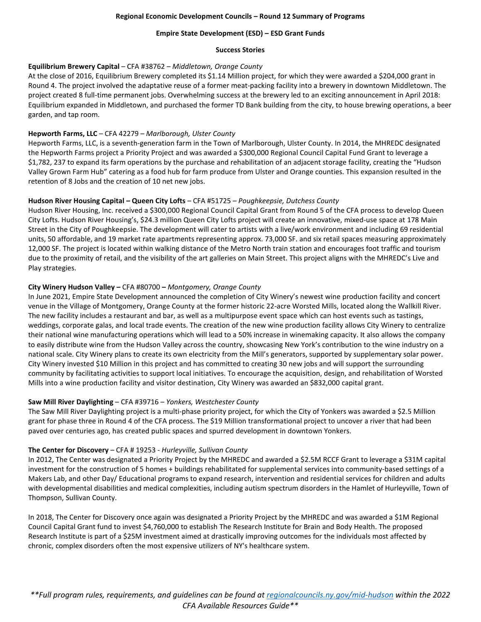#### **Empire State Development (ESD) – ESD Grant Funds**

### **Success Stories**

# **Equilibrium Brewery Capital** – CFA #38762 – *Middletown, Orange County*

At the close of 2016, Equilibrium Brewery completed its \$1.14 Million project, for which they were awarded a \$204,000 grant in Round 4. The project involved the adaptative reuse of a former meat-packing facility into a brewery in downtown Middletown. The project created 8 full-time permanent jobs. Overwhelming success at the brewery led to an exciting announcement in April 2018: Equilibrium expanded in Middletown, and purchased the former TD Bank building from the city, to house brewing operations, a beer garden, and tap room.

# **Hepworth Farms, LLC** – CFA 42279 – *Marlborough, Ulster County*

Hepworth Farms, LLC, is a seventh-generation farm in the Town of Marlborough, Ulster County. In 2014, the MHREDC designated the Hepworth Farms project a Priority Project and was awarded a \$300,000 Regional Council Capital Fund Grant to leverage a \$1,782, 237 to expand its farm operations by the purchase and rehabilitation of an adjacent storage facility, creating the "Hudson Valley Grown Farm Hub" catering as a food hub for farm produce from Ulster and Orange counties. This expansion resulted in the retention of 8 Jobs and the creation of 10 net new jobs.

# **Hudson River Housing Capital – Queen City Lofts** – CFA #51725 – *Poughkeepsie, Dutchess County*

Hudson River Housing, Inc. received a \$300,000 Regional Council Capital Grant from Round 5 of the CFA process to develop Queen City Lofts. Hudson River Housing's, \$24.3 million Queen City Lofts project will create an innovative, mixed-use space at 178 Main Street in the City of Poughkeepsie. The development will cater to artists with a live/work environment and including 69 residential units, 50 affordable, and 19 market rate apartments representing approx. 73,000 SF. and six retail spaces measuring approximately 12,000 SF. The project is located within walking distance of the Metro North train station and encourages foot traffic and tourism due to the proximity of retail, and the visibility of the art galleries on Main Street. This project aligns with the MHREDC's Live and Play strategies.

# **City Winery Hudson Valley –** CFA #80700 **–** *Montgomery, Orange County*

In June 2021, Empire State Development announced the completion of City Winery's newest wine production facility and concert venue in the Village of Montgomery, Orange County at the former historic 22-acre Worsted Mills, located along the Wallkill River. The new facility includes a restaurant and bar, as well as a multipurpose event space which can host events such as tastings, weddings, corporate galas, and local trade events. The creation of the new wine production facility allows City Winery to centralize their national wine manufacturing operations which will lead to a 50% increase in winemaking capacity. It also allows the company to easily distribute wine from the Hudson Valley across the country, showcasing New York's contribution to the wine industry on a national scale. City Winery plans to create its own electricity from the Mill's generators, supported by supplementary solar power. City Winery invested \$10 Million in this project and has committed to creating 30 new jobs and will support the surrounding community by facilitating activities to support local initiatives. To encourage the acquisition, design, and rehabilitation of Worsted Mills into a wine production facility and visitor destination, City Winery was awarded an \$832,000 capital grant.

# **Saw Mill River Daylighting** – CFA #39716 – *Yonkers, Westchester County*

The Saw Mill River Daylighting project is a multi-phase priority project, for which the City of Yonkers was awarded a \$2.5 Million grant for phase three in Round 4 of the CFA process. The \$19 Million transformational project to uncover a river that had been paved over centuries ago, has created public spaces and spurred development in downtown Yonkers.

# **The Center for Discovery** – CFA # 19253 - *Hurleyville, Sullivan County*

In 2012, The Center was designated a Priority Project by the MHREDC and awarded a \$2.5M RCCF Grant to leverage a \$31M capital investment for the construction of 5 homes + buildings rehabilitated for supplemental services into community-based settings of a Makers Lab, and other Day/ Educational programs to expand research, intervention and residential services for children and adults with developmental disabilities and medical complexities, including autism spectrum disorders in the Hamlet of Hurleyville, Town of Thompson, Sullivan County.

In 2018, The Center for Discovery once again was designated a Priority Project by the MHREDC and was awarded a \$1M Regional Council Capital Grant fund to invest \$4,760,000 to establish The Research Institute for Brain and Body Health. The proposed Research Institute is part of a \$25M investment aimed at drastically improving outcomes for the individuals most affected by chronic, complex disorders often the most expensive utilizers of NY's healthcare system.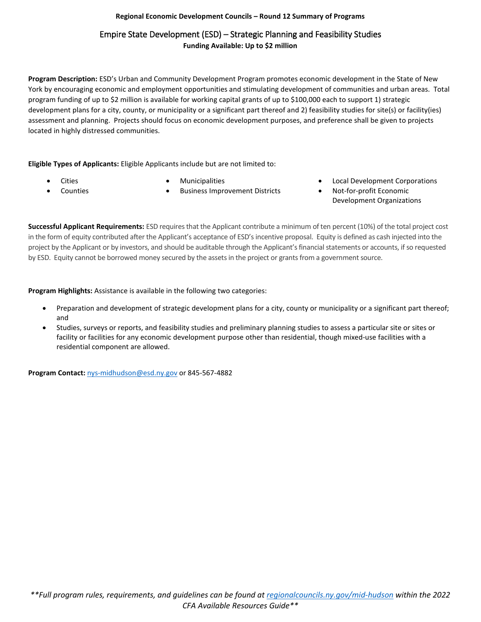# Empire State Development (ESD) – Strategic Planning and Feasibility Studies **Funding Available: Up to \$2 million**

**Program Description:** ESD's Urban and Community Development Program promotes economic development in the State of New York by encouraging economic and employment opportunities and stimulating development of communities and urban areas. Total program funding of up to \$2 million is available for working capital grants of up to \$100,000 each to support 1) strategic development plans for a city, county, or municipality or a significant part thereof and 2) feasibility studies for site(s) or facility(ies) assessment and planning. Projects should focus on economic development purposes, and preference shall be given to projects located in highly distressed communities.

**Eligible Types of Applicants:** Eligible Applicants include but are not limited to:

• Cities

**Counties** 

- **Municipalities**
- Business Improvement Districts
- Local Development Corporations
- Not-for-profit Economic Development Organizations

**Successful Applicant Requirements:** ESD requires that the Applicant contribute a minimum of ten percent (10%) of the total project cost in the form of equity contributed after the Applicant's acceptance of ESD's incentive proposal. Equity is defined as cash injected into the project by the Applicant or by investors, and should be auditable through the Applicant's financial statements or accounts, if so requested by ESD. Equity cannot be borrowed money secured by the assets in the project or grants from a government source.

**Program Highlights:** Assistance is available in the following two categories:

- Preparation and development of strategic development plans for a city, county or municipality or a significant part thereof; and
- Studies, surveys or reports, and feasibility studies and preliminary planning studies to assess a particular site or sites or facility or facilities for any economic development purpose other than residential, though mixed-use facilities with a residential component are allowed.

**Program Contact:** [nys-midhudson@esd.ny.gov](mailto:nys-midhudson@esd.ny.gov) or 845-567-4882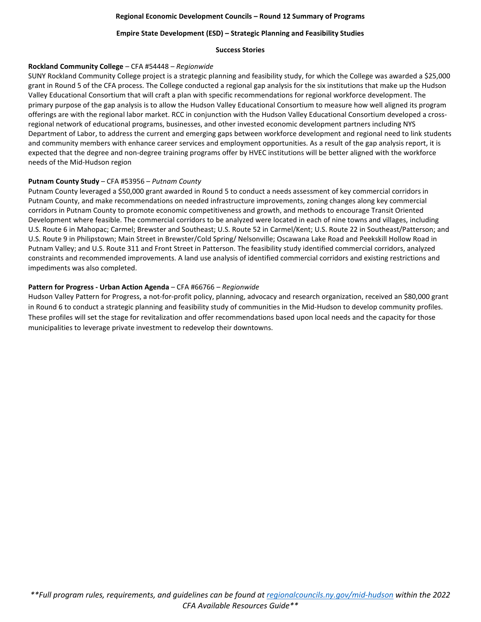### **Empire State Development (ESD) – Strategic Planning and Feasibility Studies**

#### **Success Stories**

# **Rockland Community College** – CFA #54448 – *Regionwide*

SUNY Rockland Community College project is a strategic planning and feasibility study, for which the College was awarded a \$25,000 grant in Round 5 of the CFA process. The College conducted a regional gap analysis for the six institutions that make up the Hudson Valley Educational Consortium that will craft a plan with specific recommendations for regional workforce development. The primary purpose of the gap analysis is to allow the Hudson Valley Educational Consortium to measure how well aligned its program offerings are with the regional labor market. RCC in conjunction with the Hudson Valley Educational Consortium developed a crossregional network of educational programs, businesses, and other invested economic development partners including NYS Department of Labor, to address the current and emerging gaps between workforce development and regional need to link students and community members with enhance career services and employment opportunities. As a result of the gap analysis report, it is expected that the degree and non-degree training programs offer by HVEC institutions will be better aligned with the workforce needs of the Mid-Hudson region

# **Putnam County Study** – CFA #53956 – *Putnam County*

Putnam County leveraged a \$50,000 grant awarded in Round 5 to conduct a needs assessment of key commercial corridors in Putnam County, and make recommendations on needed infrastructure improvements, zoning changes along key commercial corridors in Putnam County to promote economic competitiveness and growth, and methods to encourage Transit Oriented Development where feasible. The commercial corridors to be analyzed were located in each of nine towns and villages, including U.S. Route 6 in Mahopac; Carmel; Brewster and Southeast; U.S. Route 52 in Carmel/Kent; U.S. Route 22 in Southeast/Patterson; and U.S. Route 9 in Philipstown; Main Street in Brewster/Cold Spring/ Nelsonville; Oscawana Lake Road and Peekskill Hollow Road in Putnam Valley; and U.S. Route 311 and Front Street in Patterson. The feasibility study identified commercial corridors, analyzed constraints and recommended improvements. A land use analysis of identified commercial corridors and existing restrictions and impediments was also completed.

# **Pattern for Progress - Urban Action Agenda** – CFA #66766 – *Regionwide*

Hudson Valley Pattern for Progress, a not-for-profit policy, planning, advocacy and research organization, received an \$80,000 grant in Round 6 to conduct a strategic planning and feasibility study of communities in the Mid-Hudson to develop community profiles. These profiles will set the stage for revitalization and offer recommendations based upon local needs and the capacity for those municipalities to leverage private investment to redevelop their downtowns.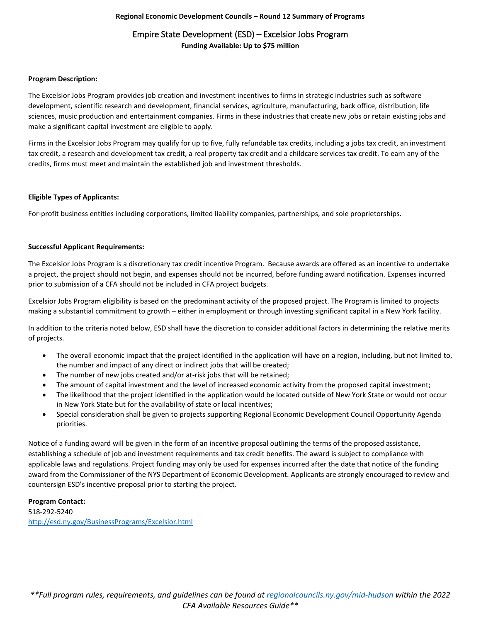# Empire State Development (ESD) – Excelsior Jobs Program **Funding Available: Up to \$75 million**

#### **Program Description:**

The Excelsior Jobs Program provides job creation and investment incentives to firms in strategic industries such as software development, scientific research and development, financial services, agriculture, manufacturing, back office, distribution, life sciences, music production and entertainment companies. Firms in these industries that create new jobs or retain existing jobs and make a significant capital investment are eligible to apply.

Firms in the Excelsior Jobs Program may qualify for up to five, fully refundable tax credits, including a jobs tax credit, an investment tax credit, a research and development tax credit, a real property tax credit and a childcare services tax credit. To earn any of the credits, firms must meet and maintain the established job and investment thresholds.

### **Eligible Types of Applicants:**

For-profit business entities including corporations, limited liability companies, partnerships, and sole proprietorships.

### **Successful Applicant Requirements:**

The Excelsior Jobs Program is a discretionary tax credit incentive Program. Because awards are offered as an incentive to undertake a project, the project should not begin, and expenses should not be incurred, before funding award notification. Expenses incurred prior to submission of a CFA should not be included in CFA project budgets.

Excelsior Jobs Program eligibility is based on the predominant activity of the proposed project. The Program is limited to projects making a substantial commitment to growth – either in employment or through investing significant capital in a New York facility.

In addition to the criteria noted below, ESD shall have the discretion to consider additional factors in determining the relative merits of projects.

- The overall economic impact that the project identified in the application will have on a region, including, but not limited to, the number and impact of any direct or indirect jobs that will be created;
- The number of new jobs created and/or at-risk jobs that will be retained;
- The amount of capital investment and the level of increased economic activity from the proposed capital investment;
- The likelihood that the project identified in the application would be located outside of New York State or would not occur in New York State but for the availability of state or local incentives;
- Special consideration shall be given to projects supporting Regional Economic Development Council Opportunity Agenda priorities.

Notice of a funding award will be given in the form of an incentive proposal outlining the terms of the proposed assistance, establishing a schedule of job and investment requirements and tax credit benefits. The award is subject to compliance with applicable laws and regulations. Project funding may only be used for expenses incurred after the date that notice of the funding award from the Commissioner of the NYS Department of Economic Development. Applicants are strongly encouraged to review and countersign ESD's incentive proposal prior to starting the project.

**Program Contact:** 518-292-5240 <http://esd.ny.gov/BusinessPrograms/Excelsior.html>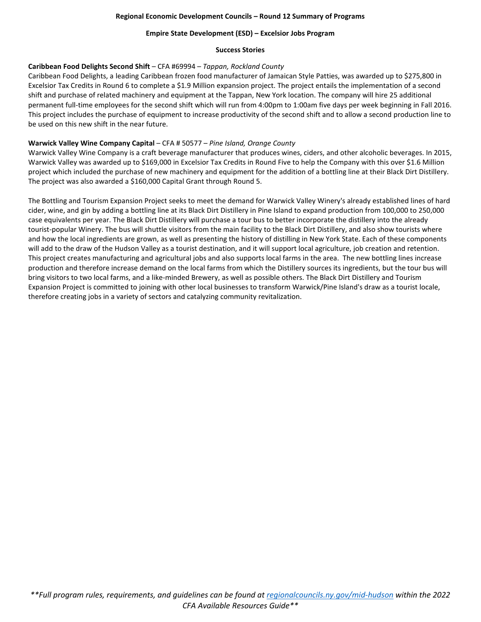### **Empire State Development (ESD) – Excelsior Jobs Program**

### **Success Stories**

# **Caribbean Food Delights Second Shift** – CFA #69994 – *Tappan, Rockland County*

Caribbean Food Delights, a leading Caribbean frozen food manufacturer of Jamaican Style Patties, was awarded up to \$275,800 in Excelsior Tax Credits in Round 6 to complete a \$1.9 Million expansion project. The project entails the implementation of a second shift and purchase of related machinery and equipment at the Tappan, New York location. The company will hire 25 additional permanent full-time employees for the second shift which will run from 4:00pm to 1:00am five days per week beginning in Fall 2016. This project includes the purchase of equipment to increase productivity of the second shift and to allow a second production line to be used on this new shift in the near future.

# **Warwick Valley Wine Company Capital** – CFA # 50577 – *Pine Island, Orange County*

Warwick Valley Wine Company is a craft beverage manufacturer that produces wines, ciders, and other alcoholic beverages. In 2015, Warwick Valley was awarded up to \$169,000 in Excelsior Tax Credits in Round Five to help the Company with this over \$1.6 Million project which included the purchase of new machinery and equipment for the addition of a bottling line at their Black Dirt Distillery. The project was also awarded a \$160,000 Capital Grant through Round 5.

The Bottling and Tourism Expansion Project seeks to meet the demand for Warwick Valley Winery's already established lines of hard cider, wine, and gin by adding a bottling line at its Black Dirt Distillery in Pine Island to expand production from 100,000 to 250,000 case equivalents per year. The Black Dirt Distillery will purchase a tour bus to better incorporate the distillery into the already tourist-popular Winery. The bus will shuttle visitors from the main facility to the Black Dirt Distillery, and also show tourists where and how the local ingredients are grown, as well as presenting the history of distilling in New York State. Each of these components will add to the draw of the Hudson Valley as a tourist destination, and it will support local agriculture, job creation and retention. This project creates manufacturing and agricultural jobs and also supports local farms in the area. The new bottling lines increase production and therefore increase demand on the local farms from which the Distillery sources its ingredients, but the tour bus will bring visitors to two local farms, and a like-minded Brewery, as well as possible others. The Black Dirt Distillery and Tourism Expansion Project is committed to joining with other local businesses to transform Warwick/Pine Island's draw as a tourist locale, therefore creating jobs in a variety of sectors and catalyzing community revitalization.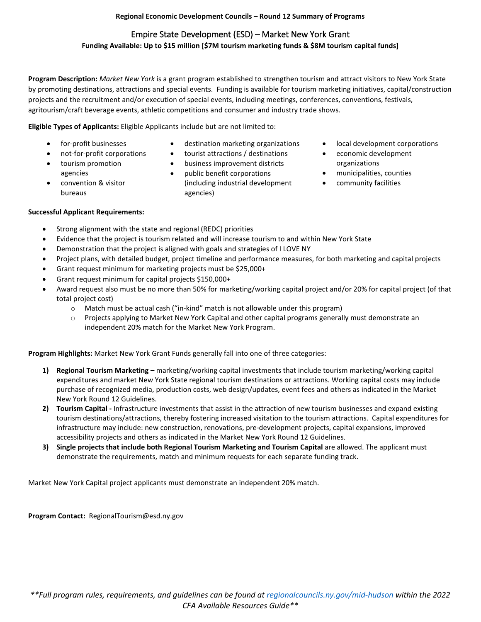# Empire State Development (ESD) – Market New York Grant

# **Funding Available: Up to \$15 million [\$7M tourism marketing funds & \$8M tourism capital funds]**

**Program Description:** *Market New York* is a grant program established to strengthen tourism and attract visitors to New York State by promoting destinations, attractions and special events. Funding is available for tourism marketing initiatives, capital/construction projects and the recruitment and/or execution of special events, including meetings, conferences, conventions, festivals, agritourism/craft beverage events, athletic competitions and consumer and industry trade shows.

**Eligible Types of Applicants:** Eligible Applicants include but are not limited to:

- for-profit businesses
- not-for-profit corporations
- tourism promotion agencies
- convention & visitor bureaus

**Successful Applicant Requirements:**

- destination marketing organizations
- tourist attractions / destinations
- business improvement districts
- public benefit corporations (including industrial development agencies)
- local development corporations
- economic development organizations
- municipalities, counties
- community facilities

- - Strong alignment with the state and regional (REDC) priorities • Evidence that the project is tourism related and will increase tourism to and within New York State
	- Demonstration that the project is aligned with goals and strategies of I LOVE NY
- Project plans, with detailed budget, project timeline and performance measures, for both marketing and capital projects
- Grant request minimum for marketing projects must be \$25,000+
- Grant request minimum for capital projects \$150,000+
- Award request also must be no more than 50% for marketing/working capital project and/or 20% for capital project (of that total project cost)
	- o Match must be actual cash ("in-kind" match is not allowable under this program)
	- o Projects applying to Market New York Capital and other capital programs generally must demonstrate an independent 20% match for the Market New York Program.

**Program Highlights:** Market New York Grant Funds generally fall into one of three categories:

- **1) Regional Tourism Marketing –** marketing/working capital investments that include tourism marketing/working capital expenditures and market New York State regional tourism destinations or attractions. Working capital costs may include purchase of recognized media, production costs, web design/updates, event fees and others as indicated in the Market New York Round 12 Guidelines.
- **2) Tourism Capital -** Infrastructure investments that assist in the attraction of new tourism businesses and expand existing tourism destinations/attractions, thereby fostering increased visitation to the tourism attractions. Capital expenditures for infrastructure may include: new construction, renovations, pre-development projects, capital expansions, improved accessibility projects and others as indicated in the Market New York Round 12 Guidelines.
- **3)** Single projects that include both Regional Tourism Marketing and Tourism Capital are allowed. The applicant must demonstrate the requirements, match and minimum requests for each separate funding track.

Market New York Capital project applicants must demonstrate an independent 20% match.

**Program Contact:** RegionalTourism@esd.ny.gov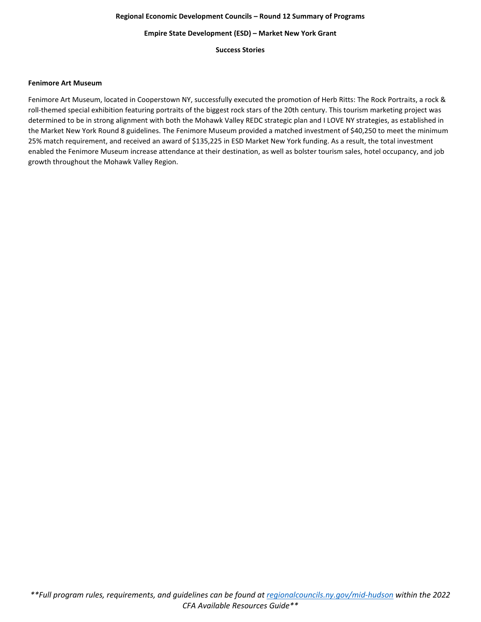### **Empire State Development (ESD) – Market New York Grant**

**Success Stories**

#### **Fenimore Art Museum**

Fenimore Art Museum, located in Cooperstown NY, successfully executed the promotion of Herb Ritts: The Rock Portraits, a rock & roll-themed special exhibition featuring portraits of the biggest rock stars of the 20th century. This tourism marketing project was determined to be in strong alignment with both the Mohawk Valley REDC strategic plan and I LOVE NY strategies, as established in the Market New York Round 8 guidelines. The Fenimore Museum provided a matched investment of \$40,250 to meet the minimum 25% match requirement, and received an award of \$135,225 in ESD Market New York funding. As a result, the total investment enabled the Fenimore Museum increase attendance at their destination, as well as bolster tourism sales, hotel occupancy, and job growth throughout the Mohawk Valley Region.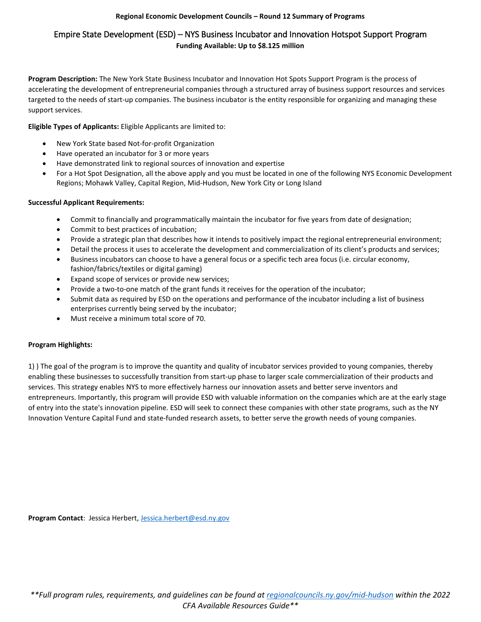# Empire State Development (ESD) – NYS Business Incubator and Innovation Hotspot Support Program **Funding Available: Up to \$8.125 million**

**Program Description:** The New York State Business Incubator and Innovation Hot Spots Support Program is the process of accelerating the development of entrepreneurial companies through a structured array of business support resources and services targeted to the needs of start-up companies. The business incubator is the entity responsible for organizing and managing these support services.

# **Eligible Types of Applicants:** Eligible Applicants are limited to:

- New York State based Not-for-profit Organization
- Have operated an incubator for 3 or more years
- Have demonstrated link to regional sources of innovation and expertise
- For a Hot Spot Designation, all the above apply and you must be located in one of the following NYS Economic Development Regions; Mohawk Valley, Capital Region, Mid-Hudson, New York City or Long Island

# **Successful Applicant Requirements:**

- Commit to financially and programmatically maintain the incubator for five years from date of designation;
- Commit to best practices of incubation;
- Provide a strategic plan that describes how it intends to positively impact the regional entrepreneurial environment;
- Detail the process it uses to accelerate the development and commercialization of its client's products and services;
- Business incubators can choose to have a general focus or a specific tech area focus (i.e. circular economy, fashion/fabrics/textiles or digital gaming)
- Expand scope of services or provide new services;
- Provide a two-to-one match of the grant funds it receives for the operation of the incubator;
- Submit data as required by ESD on the operations and performance of the incubator including a list of business enterprises currently being served by the incubator;
- Must receive a minimum total score of 70.

# **Program Highlights:**

1) ) The goal of the program is to improve the quantity and quality of incubator services provided to young companies, thereby enabling these businesses to successfully transition from start-up phase to larger scale commercialization of their products and services. This strategy enables NYS to more effectively harness our innovation assets and better serve inventors and entrepreneurs. Importantly, this program will provide ESD with valuable information on the companies which are at the early stage of entry into the state's innovation pipeline. ESD will seek to connect these companies with other state programs, such as the NY Innovation Venture Capital Fund and state-funded research assets, to better serve the growth needs of young companies.

**Program Contact**: Jessica Herbert, [Jessica.herbert@esd.ny.gov](mailto:Jessica.herbert@esd.ny.gov)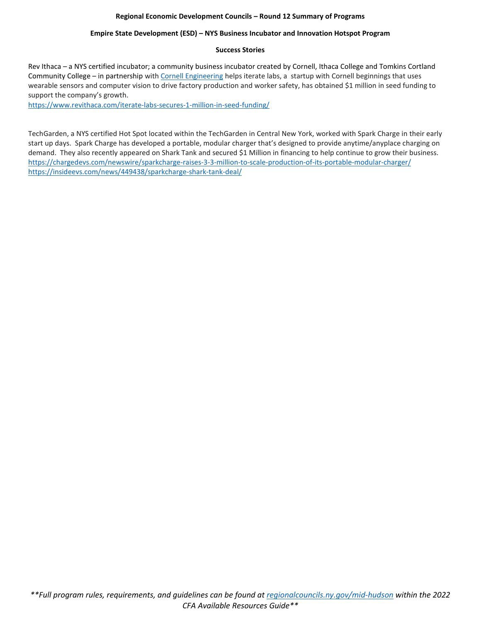# **Empire State Development (ESD) – NYS Business Incubator and Innovation Hotspot Program**

# **Success Stories**

Rev Ithaca – a NYS certified incubator; a community business incubator created by Cornell, Ithaca College and Tomkins Cortland Community College – in partnership with Cornell [Engineering](https://www.engineering.cornell.edu/) helps iterate labs, a startup with Cornell beginnings that uses wearable sensors and computer vision to drive factory production and worker safety, has obtained \$1 million in seed funding to support the company's growth.

<https://www.revithaca.com/iterate-labs-secures-1-million-in-seed-funding/>

TechGarden, a NYS certified Hot Spot located within the TechGarden in Central New York, worked with Spark Charge in their early start up days. Spark Charge has developed a portable, modular charger that's designed to provide anytime/anyplace charging on demand. They also recently appeared on Shark Tank and secured \$1 Million in financing to help continue to grow their business. <https://chargedevs.com/newswire/sparkcharge-raises-3-3-million-to-scale-production-of-its-portable-modular-charger/> <https://insideevs.com/news/449438/sparkcharge-shark-tank-deal/>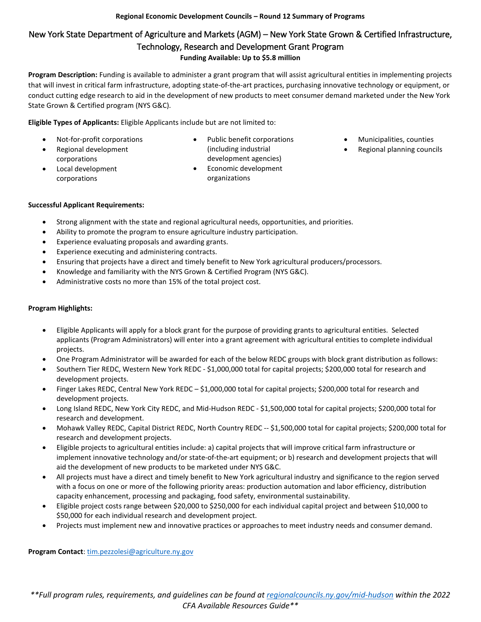# New York State Department of Agriculture and Markets (AGM) – New York State Grown & Certified Infrastructure, Technology, Research and Development Grant Program

# **Funding Available: Up to \$5.8 million**

**Program Description:** Funding is available to administer a grant program that will assist agricultural entities in implementing projects that will invest in critical farm infrastructure, adopting state-of-the-art practices, purchasing innovative technology or equipment, or conduct cutting edge research to aid in the development of new products to meet consumer demand marketed under the New York State Grown & Certified program (NYS G&C).

**Eligible Types of Applicants:** Eligible Applicants include but are not limited to:

- Not-for-profit corporations
- Regional development corporations
- Local development corporations
- Public benefit corporations (including industrial development agencies)
- Economic development organizations
- Municipalities, counties
- Regional planning councils

- **Successful Applicant Requirements:**
	- Strong alignment with the state and regional agricultural needs, opportunities, and priorities.
	- Ability to promote the program to ensure agriculture industry participation.
	- Experience evaluating proposals and awarding grants.
	- Experience executing and administering contracts.
	- Ensuring that projects have a direct and timely benefit to New York agricultural producers/processors.
	- Knowledge and familiarity with the NYS Grown & Certified Program (NYS G&C).
	- Administrative costs no more than 15% of the total project cost.

### **Program Highlights:**

- Eligible Applicants will apply for a block grant for the purpose of providing grants to agricultural entities. Selected applicants (Program Administrators) will enter into a grant agreement with agricultural entities to complete individual projects.
- One Program Administrator will be awarded for each of the below REDC groups with block grant distribution as follows:
- Southern Tier REDC, Western New York REDC \$1,000,000 total for capital projects; \$200,000 total for research and development projects.
- Finger Lakes REDC, Central New York REDC \$1,000,000 total for capital projects; \$200,000 total for research and development projects.
- Long Island REDC, New York City REDC, and Mid-Hudson REDC \$1,500,000 total for capital projects; \$200,000 total for research and development.
- Mohawk Valley REDC, Capital District REDC, North Country REDC -- \$1,500,000 total for capital projects; \$200,000 total for research and development projects.
- Eligible projects to agricultural entities include: a) capital projects that will improve critical farm infrastructure or implement innovative technology and/or state-of-the-art equipment; or b) research and development projects that will aid the development of new products to be marketed under NYS G&C.
- All projects must have a direct and timely benefit to New York agricultural industry and significance to the region served with a focus on one or more of the following priority areas: production automation and labor efficiency, distribution capacity enhancement, processing and packaging, food safety, environmental sustainability.
- Eligible project costs range between \$20,000 to \$250,000 for each individual capital project and between \$10,000 to \$50,000 for each individual research and development project.
- Projects must implement new and innovative practices or approaches to meet industry needs and consumer demand.

**Program Contact**: [tim.pezzolesi@agriculture.ny.gov](mailto:tim.pezzolesi@agriculture.ny.gov)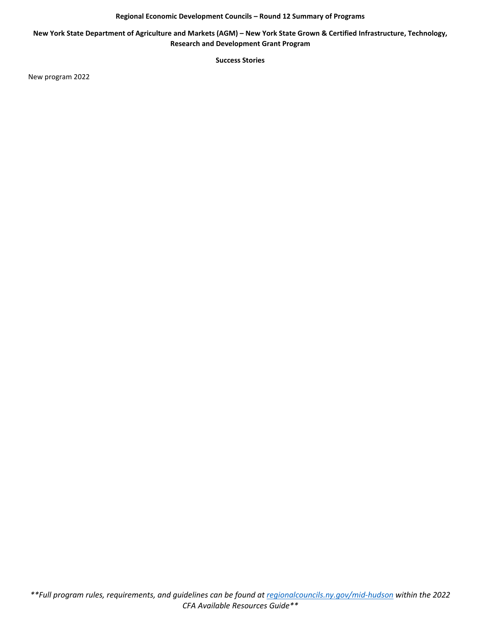# **New York State Department of Agriculture and Markets (AGM) – New York State Grown & Certified Infrastructure, Technology, Research and Development Grant Program**

# **Success Stories**

New program 2022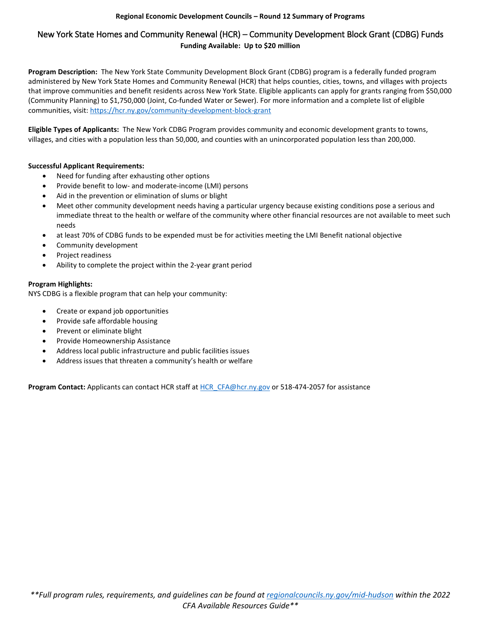# New York State Homes and Community Renewal (HCR) – Community Development Block Grant (CDBG) Funds **Funding Available: Up to \$20 million**

**Program Description:** The New York State Community Development Block Grant (CDBG) program is a federally funded program administered by New York State Homes and Community Renewal (HCR) that helps counties, cities, towns, and villages with projects that improve communities and benefit residents across New York State. Eligible applicants can apply for grants ranging from \$50,000 (Community Planning) to \$1,750,000 (Joint, Co-funded Water or Sewer). For more information and a complete list of eligible communities, visit:<https://hcr.ny.gov/community-development-block-grant>

**Eligible Types of Applicants:** The New York CDBG Program provides community and economic development grants to towns, villages, and cities with a population less than 50,000, and counties with an unincorporated population less than 200,000.

# **Successful Applicant Requirements:**

- Need for funding after exhausting other options
- Provide benefit to low- and moderate-income (LMI) persons
- Aid in the prevention or elimination of slums or blight
- Meet other community development needs having a particular urgency because existing conditions pose a serious and immediate threat to the health or welfare of the community where other financial resources are not available to meet such needs
- at least 70% of CDBG funds to be expended must be for activities meeting the LMI Benefit national objective
- Community development
- Project readiness
- Ability to complete the project within the 2-year grant period

# **Program Highlights:**

NYS CDBG is a flexible program that can help your community:

- Create or expand job opportunities
- Provide safe affordable housing
- Prevent or eliminate blight
- Provide Homeownership Assistance
- Address local public infrastructure and public facilities issues
- Address issues that threaten a community's health or welfare

**Program Contact:** Applicants can contact HCR staff at [HCR\\_CFA@hcr.ny.gov](mailto:HCR_CFA@hcr.ny.gov) or 518-474-2057 for assistance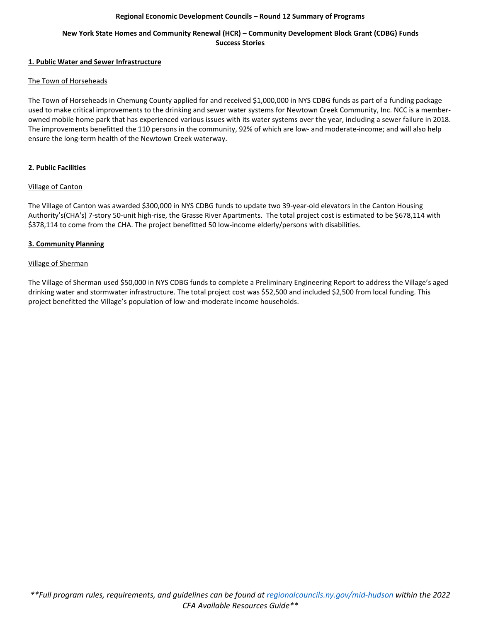# **New York State Homes and Community Renewal (HCR) – Community Development Block Grant (CDBG) Funds Success Stories**

### **1. Public Water and Sewer Infrastructure**

### The Town of Horseheads

The Town of Horseheads in Chemung County applied for and received \$1,000,000 in NYS CDBG funds as part of a funding package used to make critical improvements to the drinking and sewer water systems for Newtown Creek Community, Inc. NCC is a memberowned mobile home park that has experienced various issues with its water systems over the year, including a sewer failure in 2018. The improvements benefitted the 110 persons in the community, 92% of which are low- and moderate-income; and will also help ensure the long-term health of the Newtown Creek waterway.

### **2. Public Facilities**

### Village of Canton

The Village of Canton was awarded \$300,000 in NYS CDBG funds to update two 39-year-old elevators in the Canton Housing Authority's(CHA's) 7-story 50-unit high-rise, the Grasse River Apartments. The total project cost is estimated to be \$678,114 with \$378,114 to come from the CHA. The project benefitted 50 low-income elderly/persons with disabilities.

# **3. Community Planning**

### Village of Sherman

The Village of Sherman used \$50,000 in NYS CDBG funds to complete a Preliminary Engineering Report to address the Village's aged drinking water and stormwater infrastructure. The total project cost was \$52,500 and included \$2,500 from local funding. This project benefitted the Village's population of low-and-moderate income households.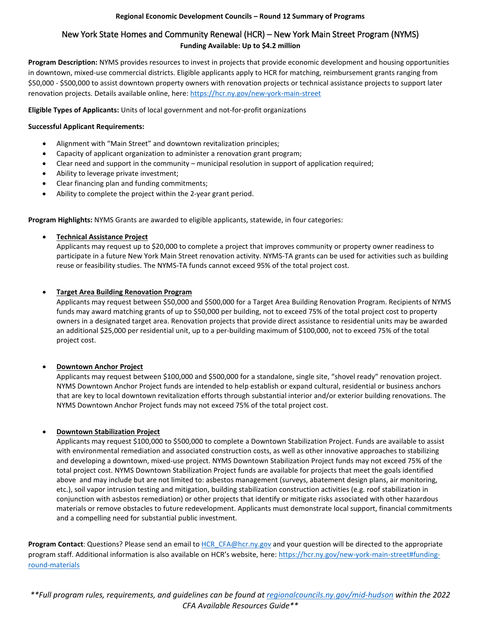# New York State Homes and Community Renewal (HCR) – New York Main Street Program (NYMS) **Funding Available: Up to \$4.2 million**

**Program Description:** NYMS provides resources to invest in projects that provide economic development and housing opportunities in downtown, mixed-use commercial districts. Eligible applicants apply to HCR for matching, reimbursement grants ranging from \$50,000 - \$500,000 to assist downtown property owners with renovation projects or technical assistance projects to support later renovation projects. Details available online, here[: https://hcr.ny.gov/new-york-main-street](https://hcr.ny.gov/new-york-main-street)

**Eligible Types of Applicants:** Units of local government and not-for-profit organizations

# **Successful Applicant Requirements:**

- Alignment with "Main Street" and downtown revitalization principles;
- Capacity of applicant organization to administer a renovation grant program;
- Clear need and support in the community municipal resolution in support of application required;
- Ability to leverage private investment;
- Clear financing plan and funding commitments;
- Ability to complete the project within the 2-year grant period.

**Program Highlights:** NYMS Grants are awarded to eligible applicants, statewide, in four categories:

# • **Technical Assistance Project**

Applicants may request up to \$20,000 to complete a project that improves community or property owner readiness to participate in a future New York Main Street renovation activity. NYMS-TA grants can be used for activities such as building reuse or feasibility studies. The NYMS-TA funds cannot exceed 95% of the total project cost.

# • **Target Area Building Renovation Program**

Applicants may request between \$50,000 and \$500,000 for a Target Area Building Renovation Program. Recipients of NYMS funds may award matching grants of up to \$50,000 per building, not to exceed 75% of the total project cost to property owners in a designated target area. Renovation projects that provide direct assistance to residential units may be awarded an additional \$25,000 per residential unit, up to a per-building maximum of \$100,000, not to exceed 75% of the total project cost.

# • **Downtown Anchor Project**

Applicants may request between \$100,000 and \$500,000 for a standalone, single site, "shovel ready" renovation project. NYMS Downtown Anchor Project funds are intended to help establish or expand cultural, residential or business anchors that are key to local downtown revitalization efforts through substantial interior and/or exterior building renovations. The NYMS Downtown Anchor Project funds may not exceed 75% of the total project cost.

# • **Downtown Stabilization Project**

Applicants may request \$100,000 to \$500,000 to complete a Downtown Stabilization Project. Funds are available to assist with environmental remediation and associated construction costs, as well as other innovative approaches to stabilizing and developing a downtown, mixed-use project. NYMS Downtown Stabilization Project funds may not exceed 75% of the total project cost. NYMS Downtown Stabilization Project funds are available for projects that meet the goals identified above and may include but are not limited to: asbestos management (surveys, abatement design plans, air monitoring, etc.), soil vapor intrusion testing and mitigation, building stabilization construction activities (e.g. roof stabilization in conjunction with asbestos remediation) or other projects that identify or mitigate risks associated with other hazardous materials or remove obstacles to future redevelopment. Applicants must demonstrate local support, financial commitments and a compelling need for substantial public investment.

**Program Contact**: Questions? Please send an email t[o HCR\\_CFA@hcr.ny.gov](mailto:HCR_CFA@hcr.ny.gov) and your question will be directed to the appropriate program staff. Additional information is also available on HCR's website, here: [https://hcr.ny.gov/new-york-main-street#funding](https://hcr.ny.gov/new-york-main-street#funding-round-materials)[round-materials](https://hcr.ny.gov/new-york-main-street#funding-round-materials)

*\*\*Full program rules, requirements, and guidelines can be found a[t regionalcouncils.ny.gov/mid-hudson](https://regionalcouncils.ny.gov/mid-hudson) within the 2022 CFA Available Resources Guide\*\**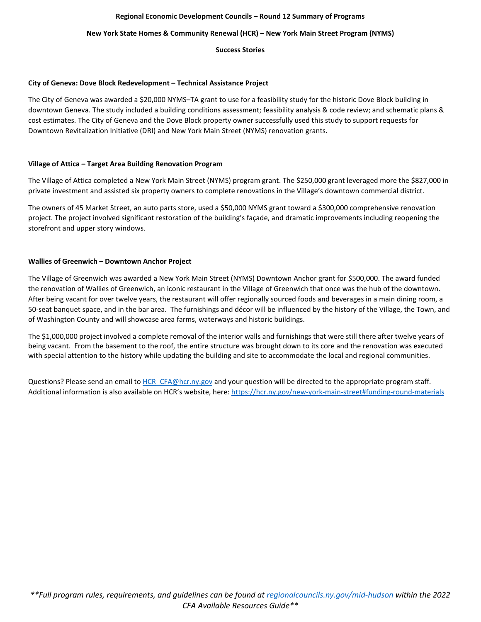### **New York State Homes & Community Renewal (HCR) – New York Main Street Program (NYMS)**

**Success Stories**

### **City of Geneva: Dove Block Redevelopment – Technical Assistance Project**

The City of Geneva was awarded a \$20,000 NYMS–TA grant to use for a feasibility study for the historic Dove Block building in downtown Geneva. The study included a building conditions assessment; feasibility analysis & code review; and schematic plans & cost estimates. The City of Geneva and the Dove Block property owner successfully used this study to support requests for Downtown Revitalization Initiative (DRI) and New York Main Street (NYMS) renovation grants.

# **Village of Attica – Target Area Building Renovation Program**

The Village of Attica completed a New York Main Street (NYMS) program grant. The \$250,000 grant leveraged more the \$827,000 in private investment and assisted six property owners to complete renovations in the Village's downtown commercial district.

The owners of 45 Market Street, an auto parts store, used a \$50,000 NYMS grant toward a \$300,000 comprehensive renovation project. The project involved significant restoration of the building's façade, and dramatic improvements including reopening the storefront and upper story windows.

# **Wallies of Greenwich – Downtown Anchor Project**

The Village of Greenwich was awarded a New York Main Street (NYMS) Downtown Anchor grant for \$500,000. The award funded the renovation of Wallies of Greenwich, an iconic restaurant in the Village of Greenwich that once was the hub of the downtown. After being vacant for over twelve years, the restaurant will offer regionally sourced foods and beverages in a main dining room, a 50-seat banquet space, and in the bar area. The furnishings and décor will be influenced by the history of the Village, the Town, and of Washington County and will showcase area farms, waterways and historic buildings.

The \$1,000,000 project involved a complete removal of the interior walls and furnishings that were still there after twelve years of being vacant. From the basement to the roof, the entire structure was brought down to its core and the renovation was executed with special attention to the history while updating the building and site to accommodate the local and regional communities.

Questions? Please send an email t[o HCR\\_CFA@hcr.ny.gov](mailto:HCR_CFA@hcr.ny.gov) and your question will be directed to the appropriate program staff. Additional information is also available on HCR's website, here[: https://hcr.ny.gov/new-york-main-street#funding-round-materials](https://hcr.ny.gov/new-york-main-street#funding-round-materials)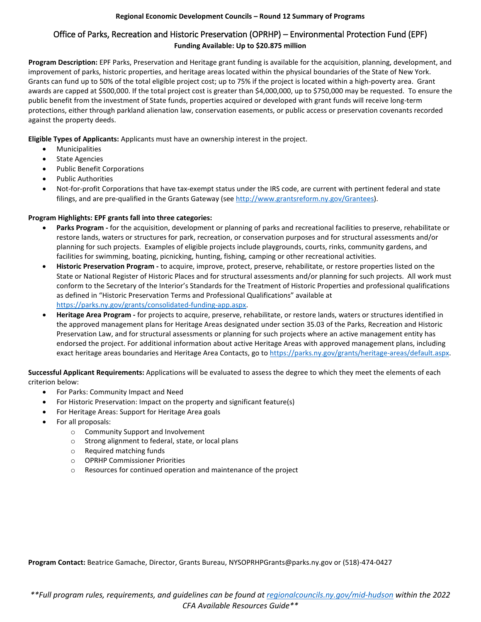# Office of Parks, Recreation and Historic Preservation (OPRHP) – Environmental Protection Fund (EPF) **Funding Available: Up to \$20.875 million**

 **Program Description:** EPF Parks, Preservation and Heritage grant funding is available for the acquisition, planning, development, and improvement of parks, historic properties, and heritage areas located within the physical boundaries of the State of New York. Grants can fund up to 50% of the total eligible project cost; up to 75% if the project is located within a high-poverty area. Grant awards are capped at \$500,000. If the total project cost is greater than \$4,000,000, up to \$750,000 may be requested. To ensure the public benefit from the investment of State funds, properties acquired or developed with grant funds will receive long-term protections, either through parkland alienation law, conservation easements, or public access or preservation covenants recorded against the property deeds.

**Eligible Types of Applicants:** Applicants must have an ownership interest in the project.

- **Municipalities**
- State Agencies
- Public Benefit Corporations
- Public Authorities
- Not-for-profit Corporations that have tax-exempt status under the IRS code, are current with pertinent federal and state filings, and are pre-qualified in the Grants Gateway (se[e http://www.grantsreform.ny.gov/Grantees\)](http://www.grantsreform.ny.gov/Grantees).

# **Program Highlights: EPF grants fall into three categories:**

- **Parks Program** for the acquisition, development or planning of parks and recreational facilities to preserve, rehabilitate or restore lands, waters or structures for park, recreation, or conservation purposes and for structural assessments and/or planning for such projects. Examples of eligible projects include playgrounds, courts, rinks, community gardens, and facilities for swimming, boating, picnicking, hunting, fishing, camping or other recreational activities.
- **Historic Preservation Program -** to acquire, improve, protect, preserve, rehabilitate, or restore properties listed on the State or National Register of Historic Places and for structural assessments and/or planning for such projects. All work must conform to the Secretary of the Interior's Standards for the Treatment of Historic Properties and professional qualifications as defined in "Historic Preservation Terms and Professional Qualifications" available at [https://parks.ny.gov/grants/consolidated-funding-app.aspx.](https://parks.ny.gov/grants/consolidated-funding-app.aspx)
- **Heritage Area Program** for projects to acquire, preserve, rehabilitate, or restore lands, waters or structures identified in the approved management plans for Heritage Areas designated under section 35.03 of the Parks, Recreation and Historic Preservation Law, and for structural assessments or planning for such projects where an active management entity has endorsed the project. For additional information about active Heritage Areas with approved management plans, including exact heritage areas boundaries and Heritage Area Contacts, go t[o https://parks.ny.gov/grants/heritage-areas/default.aspx.](https://parks.ny.gov/grants/heritage-areas/default.aspx)

**Successful Applicant Requirements:** Applications will be evaluated to assess the degree to which they meet the elements of each criterion below:

- For Parks: Community Impact and Need
- For Historic Preservation: Impact on the property and significant feature(s)
	- For Heritage Areas: Support for Heritage Area goals
- For all proposals:
	- o Community Support and Involvement
	- o Strong alignment to federal, state, or local plans
	- o Required matching funds
	- o OPRHP Commissioner Priorities
	- o Resources for continued operation and maintenance of the project

**Program Contact:** Beatrice Gamache, Director, Grants Bureau[, NYSOPRHPGrants@parks.ny.gov](mailto:NYSOPRHPGrants@parks.ny.gov) or (518)-474-0427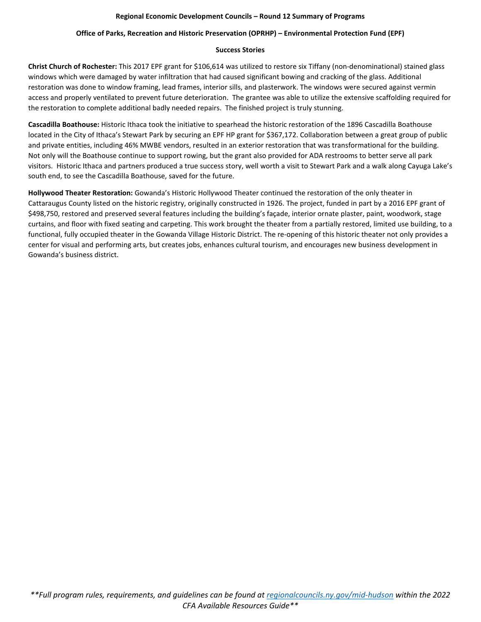### **Office of Parks, Recreation and Historic Preservation (OPRHP) – Environmental Protection Fund (EPF)**

#### **Success Stories**

**Christ Church of Rochester:** This 2017 EPF grant for \$106,614 was utilized to restore six Tiffany (non-denominational) stained glass windows which were damaged by water infiltration that had caused significant bowing and cracking of the glass. Additional restoration was done to window framing, lead frames, interior sills, and plasterwork. The windows were secured against vermin access and properly ventilated to prevent future deterioration. The grantee was able to utilize the extensive scaffolding required for the restoration to complete additional badly needed repairs. The finished project is truly stunning.

**Cascadilla Boathouse:** Historic Ithaca took the initiative to spearhead the historic restoration of the 1896 Cascadilla Boathouse located in the City of Ithaca's Stewart Park by securing an EPF HP grant for \$367,172. Collaboration between a great group of public and private entities, including 46% MWBE vendors, resulted in an exterior restoration that was transformational for the building. Not only will the Boathouse continue to support rowing, but the grant also provided for ADA restrooms to better serve all park visitors. Historic Ithaca and partners produced a true success story, well worth a visit to Stewart Park and a walk along Cayuga Lake's south end, to see the Cascadilla Boathouse, saved for the future.

**Hollywood Theater Restoration:** Gowanda's Historic Hollywood Theater continued the restoration of the only theater in Cattaraugus County listed on the historic registry, originally constructed in 1926. The project, funded in part by a 2016 EPF grant of \$498,750, restored and preserved several features including the building's façade, interior ornate plaster, paint, woodwork, stage curtains, and floor with fixed seating and carpeting. This work brought the theater from a partially restored, limited use building, to a functional, fully occupied theater in the Gowanda Village Historic District. The re-opening of this historic theater not only provides a center for visual and performing arts, but creates jobs, enhances cultural tourism, and encourages new business development in Gowanda's business district.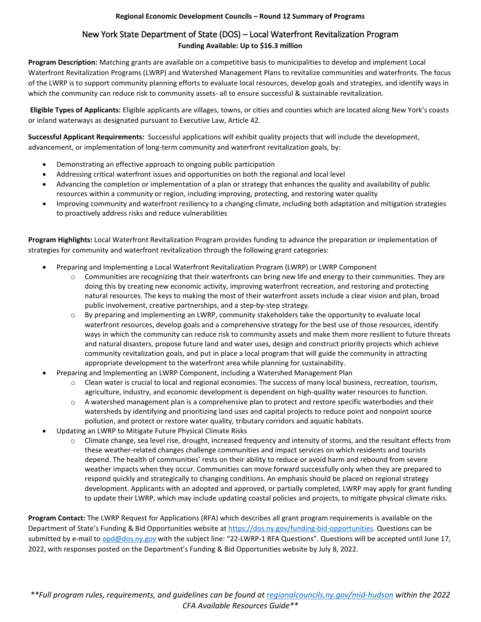# New York State Department of State (DOS) – Local Waterfront Revitalization Program **Funding Available: Up to \$16.3 million**

**Program Description:** Matching grants are available on a competitive basis to municipalities to develop and implement Local Waterfront Revitalization Programs (LWRP) and Watershed Management Plans to revitalize communities and waterfronts. The focus of the LWRP is to support community planning efforts to evaluate local resources, develop goals and strategies, and identify ways in which the community can reduce risk to community assets- all to ensure successful & sustainable revitalization.

**Eligible Types of Applicants:** Eligible applicants are villages, towns, or cities and counties which are located along New York's coasts or inland waterways as designated pursuant to Executive Law, Article 42.

**Successful Applicant Requirements:** Successful applications will exhibit quality projects that will include the development, advancement, or implementation of long-term community and waterfront revitalization goals, by:

- Demonstrating an effective approach to ongoing public participation
- Addressing critical waterfront issues and opportunities on both the regional and local level
- Advancing the completion or implementation of a plan or strategy that enhances the quality and availability of public resources within a community or region, including improving, protecting, and restoring water quality
- Improving community and waterfront resiliency to a changing climate, including both adaptation and mitigation strategies to proactively address risks and reduce vulnerabilities

**Program Highlights:** Local Waterfront Revitalization Program provides funding to advance the preparation or implementation of strategies for community and waterfront revitalization through the following grant categories:

- Preparing and Implementing a Local Waterfront Revitalization Program (LWRP) or LWRP Component
	- o Communities are recognizing that their waterfronts can bring new life and energy to their communities. They are doing this by creating new economic activity, improving waterfront recreation, and restoring and protecting natural resources. The keys to making the most of their waterfront assets include a clear vision and plan, broad public involvement, creative partnerships, and a step-by-step strategy.
	- $\circ$  By preparing and implementing an LWRP, community stakeholders take the opportunity to evaluate local waterfront resources, develop goals and a comprehensive strategy for the best use of those resources, identify ways in which the community can reduce risk to community assets and make them more resilient to future threats and natural disasters, propose future land and water uses, design and construct priority projects which achieve community revitalization goals, and put in place a local program that will guide the community in attracting appropriate development to the waterfront area while planning for sustainability.
- Preparing and Implementing an LWRP Component, including a Watershed Management Plan
	- $\circ$  Clean water is crucial to local and regional economies. The success of many local business, recreation, tourism, agriculture, industry, and economic development is dependent on high-quality water resources to function.
	- o A watershed management plan is a comprehensive plan to protect and restore specific waterbodies and their watersheds by identifying and prioritizing land uses and capital projects to reduce point and nonpoint source pollution, and protect or restore water quality, tributary corridors and aquatic habitats.
- Updating an LWRP to Mitigate Future Physical Climate Risks
	- o Climate change, sea level rise, drought, increased frequency and intensity of storms, and the resultant effects from these weather-related changes challenge communities and impact services on which residents and tourists depend. The health of communities' rests on their ability to reduce or avoid harm and rebound from severe weather impacts when they occur. Communities can move forward successfully only when they are prepared to respond quickly and strategically to changing conditions. An emphasis should be placed on regional strategy development. Applicants with an adopted and approved, or partially completed, LWRP may apply for grant funding to update their LWRP, which may include updating coastal policies and projects, to mitigate physical climate risks.

**Program Contact:** The LWRP Request for Applications (RFA) which describes all grant program requirements is available on the Department of State's Funding & Bid Opportunities website at [https://dos.ny.gov/funding-bid-opportunities.](https://dos.ny.gov/funding-bid-opportunities) Questions can be submitted by e-mail to [opd@dos.ny.gov](mailto:to%20opd@dos.ny.gov) with the subject line: "22-LWRP-1 RFA Questions". Questions will be accepted until June 17, 2022, with responses posted on the Department's Funding & Bid Opportunities website by July 8, 2022.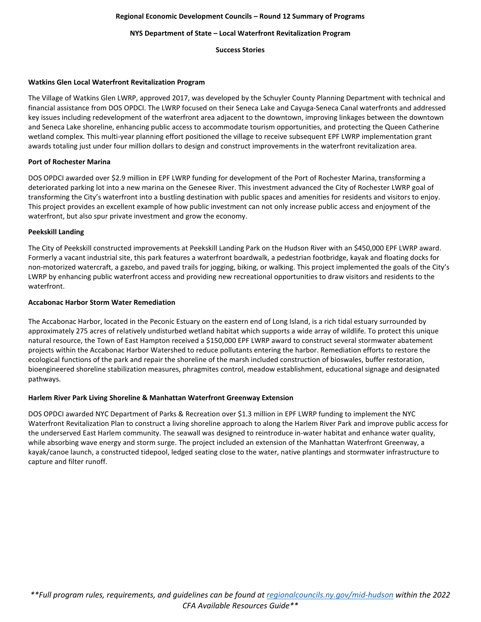#### **NYS Department of State – Local Waterfront Revitalization Program**

**Success Stories**

#### **Watkins Glen Local Waterfront Revitalization Program**

The Village of Watkins Glen LWRP, approved 2017, was developed by the Schuyler County Planning Department with technical and financial assistance from DOS OPDCI. The LWRP focused on their Seneca Lake and Cayuga-Seneca Canal waterfronts and addressed key issues including redevelopment of the waterfront area adjacent to the downtown, improving linkages between the downtown and Seneca Lake shoreline, enhancing public access to accommodate tourism opportunities, and protecting the Queen Catherine wetland complex. This multi-year planning effort positioned the village to receive subsequent EPF LWRP implementation grant awards totaling just under four million dollars to design and construct improvements in the waterfront revitalization area.

#### **Port of Rochester Marina**

DOS OPDCI awarded over \$2.9 million in EPF LWRP funding for development of the Port of Rochester Marina, transforming a deteriorated parking lot into a new marina on the Genesee River. This investment advanced the City of Rochester LWRP goal of transforming the City's waterfront into a bustling destination with public spaces and amenities for residents and visitors to enjoy. This project provides an excellent example of how public investment can not only increase public access and enjoyment of the waterfront, but also spur private investment and grow the economy.

#### **Peekskill Landing**

The City of Peekskill constructed improvements at Peekskill Landing Park on the Hudson River with an \$450,000 EPF LWRP award. Formerly a vacant industrial site, this park features a waterfront boardwalk, a pedestrian footbridge, kayak and floating docks for non-motorized watercraft, a gazebo, and paved trails for jogging, biking, or walking. This project implemented the goals of the City's LWRP by enhancing public waterfront access and providing new recreational opportunities to draw visitors and residents to the waterfront.

#### **Accabonac Harbor Storm Water Remediation**

The Accabonac Harbor, located in the Peconic Estuary on the eastern end of Long Island, is a rich tidal estuary surrounded by approximately 275 acres of relatively undisturbed wetland habitat which supports a wide array of wildlife. To protect this unique natural resource, the Town of East Hampton received a \$150,000 EPF LWRP award to construct several stormwater abatement projects within the Accabonac Harbor Watershed to reduce pollutants entering the harbor. Remediation efforts to restore the ecological functions of the park and repair the shoreline of the marsh included construction of bioswales, buffer restoration, bioengineered shoreline stabilization measures, phragmites control, meadow establishment, educational signage and designated pathways.

#### **Harlem River Park Living Shoreline & Manhattan Waterfront Greenway Extension**

DOS OPDCI awarded NYC Department of Parks & Recreation over \$1.3 million in EPF LWRP funding to implement the NYC Waterfront Revitalization Plan to construct a living shoreline approach to along the Harlem River Park and improve public access for the underserved East Harlem community. The seawall was designed to reintroduce in-water habitat and enhance water quality, while absorbing wave energy and storm surge. The project included an extension of the Manhattan Waterfront Greenway, a kayak/canoe launch, a constructed tidepool, ledged seating close to the water, native plantings and stormwater infrastructure to capture and filter runoff.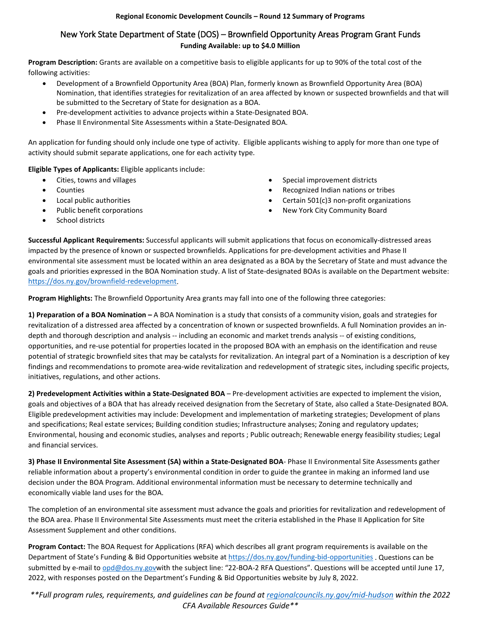# New York State Department of State (DOS) – Brownfield Opportunity Areas Program Grant Funds **Funding Available: up to \$4.0 Million**

**Program Description:** Grants are available on a competitive basis to eligible applicants for up to 90% of the total cost of the following activities:

- Development of a Brownfield Opportunity Area (BOA) Plan, formerly known as Brownfield Opportunity Area (BOA) Nomination, that identifies strategies for revitalization of an area affected by known or suspected brownfields and that will be submitted to the Secretary of State for designation as a BOA.
- Pre-development activities to advance projects within a State-Designated BOA.
- Phase II Environmental Site Assessments within a State-Designated BOA.

An application for funding should only include one type of activity. Eligible applicants wishing to apply for more than one type of activity should submit separate applications, one for each activity type.

**Eligible Types of Applicants:** Eligible applicants include:

- Cities, towns and villages
- **Counties**
- Local public authorities
- Public benefit corporations
- School districts
- Special improvement districts
- Recognized Indian nations or tribes
- Certain 501(c)3 non-profit organizations
- New York City Community Board

**Successful Applicant Requirements:** Successful applicants will submit applications that focus on economically-distressed areas impacted by the presence of known or suspected brownfields. Applications for pre-development activities and Phase II environmental site assessment must be located within an area designated as a BOA by the Secretary of State and must advance the goals and priorities expressed in the BOA Nomination study. A list of State-designated BOAs is available on the Department website: [https://dos.ny.gov/brownfield-redevelopment.](https://dos.ny.gov/brownfield-redevelopment)

**Program Highlights:** The Brownfield Opportunity Area grants may fall into one of the following three categories:

**1) Preparation of a BOA Nomination –** A BOA Nomination is a study that consists of a community vision, goals and strategies for revitalization of a distressed area affected by a concentration of known or suspected brownfields. A full Nomination provides an indepth and thorough description and analysis -- including an economic and market trends analysis -- of existing conditions, opportunities, and re-use potential for properties located in the proposed BOA with an emphasis on the identification and reuse potential of strategic brownfield sites that may be catalysts for revitalization. An integral part of a Nomination is a description of key findings and recommendations to promote area-wide revitalization and redevelopment of strategic sites, including specific projects, initiatives, regulations, and other actions.

**2) Predevelopment Activities within a State-Designated BOA** – Pre-development activities are expected to implement the vision, goals and objectives of a BOA that has already received designation from the Secretary of State, also called a State-Designated BOA. Eligible predevelopment activities may include: Development and implementation of marketing strategies; Development of plans and specifications; Real estate services; Building condition studies; Infrastructure analyses; Zoning and regulatory updates; Environmental, housing and economic studies, analyses and reports ; Public outreach; Renewable energy feasibility studies; Legal and financial services.

**3) Phase II Environmental Site Assessment (SA) within a State-Designated BOA**- Phase II Environmental Site Assessments gather reliable information about a property's environmental condition in order to guide the grantee in making an informed land use decision under the BOA Program. Additional environmental information must be necessary to determine technically and economically viable land uses for the BOA.

The completion of an environmental site assessment must advance the goals and priorities for revitalization and redevelopment of the BOA area. Phase II Environmental Site Assessments must meet the criteria established in the Phase II Application for Site Assessment Supplement and other conditions.

**Program Contact:** The BOA Request for Applications (RFA) which describes all grant program requirements is available on the Department of State's Funding & Bid Opportunities website at<https://dos.ny.gov/funding-bid-opportunities> . Questions can be submitted by e-mail t[o opd@dos.ny.govw](mailto:opd@dos.ny.gov)ith the subject line: "22-BOA-2 RFA Questions". Questions will be accepted until June 17, 2022, with responses posted on the Department's Funding & Bid Opportunities website by July 8, 2022.

*\*\*Full program rules, requirements, and guidelines can be found a[t regionalcouncils.ny.gov/mid-hudson](https://regionalcouncils.ny.gov/mid-hudson) within the 2022 CFA Available Resources Guide\*\**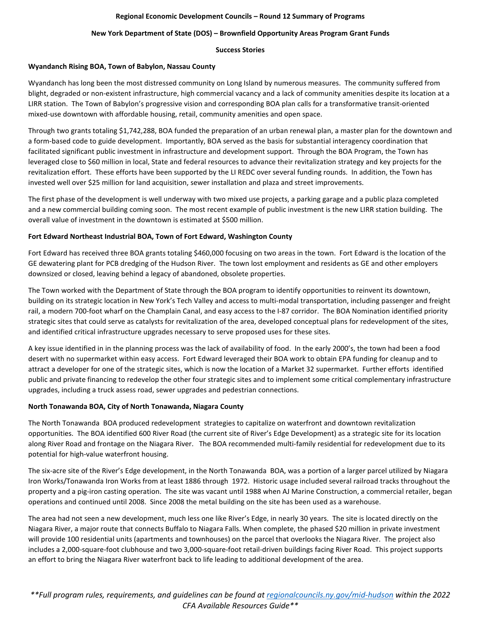### **New York Department of State (DOS) – Brownfield Opportunity Areas Program Grant Funds**

#### **Success Stories**

### **Wyandanch Rising BOA, Town of Babylon, Nassau County**

Wyandanch has long been the most distressed community on Long Island by numerous measures. The community suffered from blight, degraded or non-existent infrastructure, high commercial vacancy and a lack of community amenities despite its location at a LIRR station. The Town of Babylon's progressive vision and corresponding BOA plan calls for a transformative transit-oriented mixed-use downtown with affordable housing, retail, community amenities and open space.

Through two grants totaling \$1,742,288, BOA funded the preparation of an urban renewal plan, a master plan for the downtown and a form-based code to guide development. Importantly, BOA served as the basis for substantial interagency coordination that facilitated significant public investment in infrastructure and development support. Through the BOA Program, the Town has leveraged close to \$60 million in local, State and federal resources to advance their revitalization strategy and key projects for the revitalization effort. These efforts have been supported by the LI REDC over several funding rounds. In addition, the Town has invested well over \$25 million for land acquisition, sewer installation and plaza and street improvements.

The first phase of the development is well underway with two mixed use projects, a parking garage and a public plaza completed and a new commercial building coming soon. The most recent example of public investment is the new LIRR station building. The overall value of investment in the downtown is estimated at \$500 million.

### **Fort Edward Northeast Industrial BOA, Town of Fort Edward, Washington County**

Fort Edward has received three BOA grants totaling \$460,000 focusing on two areas in the town. Fort Edward is the location of the GE dewatering plant for PCB dredging of the Hudson River. The town lost employment and residents as GE and other employers downsized or closed, leaving behind a legacy of abandoned, obsolete properties.

The Town worked with the Department of State through the BOA program to identify opportunities to reinvent its downtown, building on its strategic location in New York's Tech Valley and access to multi-modal transportation, including passenger and freight rail, a modern 700-foot wharf on the Champlain Canal, and easy access to the I-87 corridor. The BOA Nomination identified priority strategic sites that could serve as catalysts for revitalization of the area, developed conceptual plans for redevelopment of the sites, and identified critical infrastructure upgrades necessary to serve proposed uses for these sites.

A key issue identified in in the planning process was the lack of availability of food. In the early 2000's, the town had been a food desert with no supermarket within easy access. Fort Edward leveraged their BOA work to obtain EPA funding for cleanup and to attract a developer for one of the strategic sites, which is now the location of a Market 32 supermarket. Further efforts identified public and private financing to redevelop the other four strategic sites and to implement some critical complementary infrastructure upgrades, including a truck assess road, sewer upgrades and pedestrian connections.

# **North Tonawanda BOA, City of North Tonawanda, Niagara County**

The North Tonawanda BOA produced redevelopment strategies to capitalize on waterfront and downtown revitalization opportunities. The BOA identified 600 River Road (the current site of River's Edge Development) as a strategic site for its location along River Road and frontage on the Niagara River. The BOA recommended multi-family residential for redevelopment due to its potential for high-value waterfront housing.

The six-acre site of the River's Edge development, in the North Tonawanda BOA, was a portion of a larger parcel utilized by Niagara Iron Works/Tonawanda Iron Works from at least 1886 through 1972. Historic usage included several railroad tracks throughout the property and a pig-iron casting operation. The site was vacant until 1988 when AJ Marine Construction, a commercial retailer, began operations and continued until 2008. Since 2008 the metal building on the site has been used as a warehouse.

The area had not seen a new development, much less one like River's Edge, in nearly 30 years. The site is located directly on the Niagara River, a major route that connects Buffalo to Niagara Falls. When complete, the phased \$20 million in private investment will provide 100 residential units (apartments and townhouses) on the parcel that overlooks the Niagara River. The project also includes a 2,000-square-foot clubhouse and two 3,000-square-foot retail-driven buildings facing River Road. This project supports an effort to bring the Niagara River waterfront back to life leading to additional development of the area.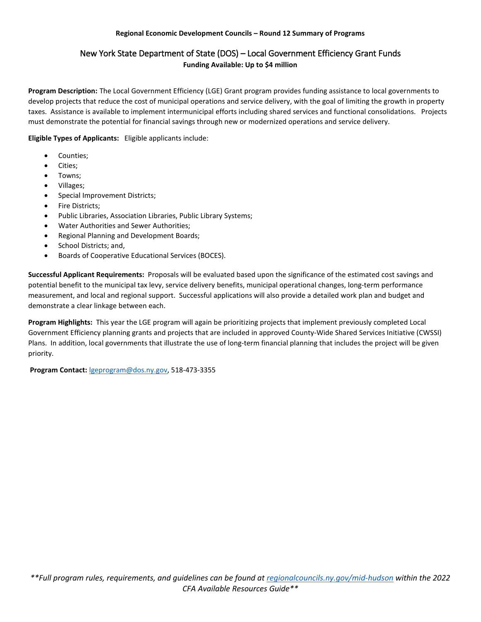# New York State Department of State (DOS) – Local Government Efficiency Grant Funds **Funding Available: Up to \$4 million**

**Program Description:** The Local Government Efficiency (LGE) Grant program provides funding assistance to local governments to develop projects that reduce the cost of municipal operations and service delivery, with the goal of limiting the growth in property taxes. Assistance is available to implement intermunicipal efforts including shared services and functional consolidations. Projects must demonstrate the potential for financial savings through new or modernized operations and service delivery.

**Eligible Types of Applicants:** Eligible applicants include:

- Counties;
- Cities;
- Towns;
- Villages;
- Special Improvement Districts;
- Fire Districts;
- Public Libraries, Association Libraries, Public Library Systems;
- Water Authorities and Sewer Authorities;
- Regional Planning and Development Boards;
- School Districts; and,
- Boards of Cooperative Educational Services (BOCES).

**Successful Applicant Requirements:** Proposals will be evaluated based upon the significance of the estimated cost savings and potential benefit to the municipal tax levy, service delivery benefits, municipal operational changes, long-term performance measurement, and local and regional support. Successful applications will also provide a detailed work plan and budget and demonstrate a clear linkage between each.

**Program Highlights:** This year the LGE program will again be prioritizing projects that implement previously completed Local Government Efficiency planning grants and projects that are included in approved County-Wide Shared Services Initiative (CWSSI) Plans. In addition, local governments that illustrate the use of long-term financial planning that includes the project will be given priority.

**Program Contact:** [lgeprogram@dos.ny.gov,](mailto:lgeprogram@dos.ny.gov) 518-473-3355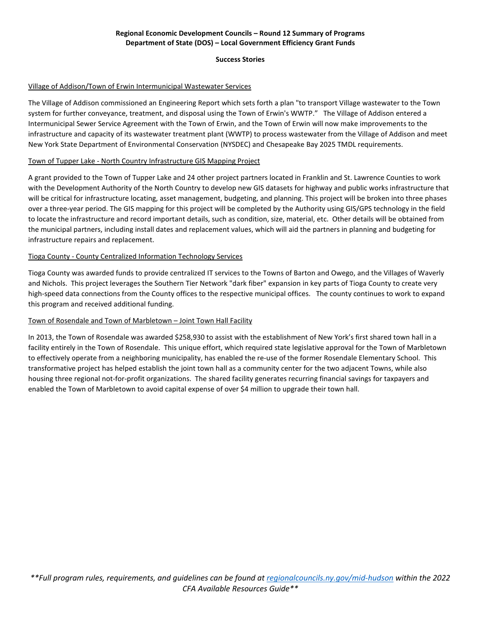# **Success Stories**

# Village of Addison/Town of Erwin Intermunicipal Wastewater Services

The Village of Addison commissioned an Engineering Report which sets forth a plan "to transport Village wastewater to the Town system for further conveyance, treatment, and disposal using the Town of Erwin's WWTP." The Village of Addison entered a Intermunicipal Sewer Service Agreement with the Town of Erwin, and the Town of Erwin will now make improvements to the infrastructure and capacity of its wastewater treatment plant (WWTP) to process wastewater from the Village of Addison and meet New York State Department of Environmental Conservation (NYSDEC) and Chesapeake Bay 2025 TMDL requirements.

# Town of Tupper Lake - North Country Infrastructure GIS Mapping Project

A grant provided to the Town of Tupper Lake and 24 other project partners located in Franklin and St. Lawrence Counties to work with the Development Authority of the North Country to develop new GIS datasets for highway and public works infrastructure that will be critical for infrastructure locating, asset management, budgeting, and planning. This project will be broken into three phases over a three-year period. The GIS mapping for this project will be completed by the Authority using GIS/GPS technology in the field to locate the infrastructure and record important details, such as condition, size, material, etc. Other details will be obtained from the municipal partners, including install dates and replacement values, which will aid the partners in planning and budgeting for infrastructure repairs and replacement.

# Tioga County - County Centralized Information Technology Services

Tioga County was awarded funds to provide centralized IT services to the Towns of Barton and Owego, and the Villages of Waverly and Nichols. This project leverages the Southern Tier Network "dark fiber" expansion in key parts of Tioga County to create very high-speed data connections from the County offices to the respective municipal offices. The county continues to work to expand this program and received additional funding.

# Town of Rosendale and Town of Marbletown – Joint Town Hall Facility

In 2013, the Town of Rosendale was awarded \$258,930 to assist with the establishment of New York's first shared town hall in a facility entirely in the Town of Rosendale. This unique effort, which required state legislative approval for the Town of Marbletown to effectively operate from a neighboring municipality, has enabled the re-use of the former Rosendale Elementary School. This transformative project has helped establish the joint town hall as a community center for the two adjacent Towns, while also housing three regional not-for-profit organizations. The shared facility generates recurring financial savings for taxpayers and enabled the Town of Marbletown to avoid capital expense of over \$4 million to upgrade their town hall.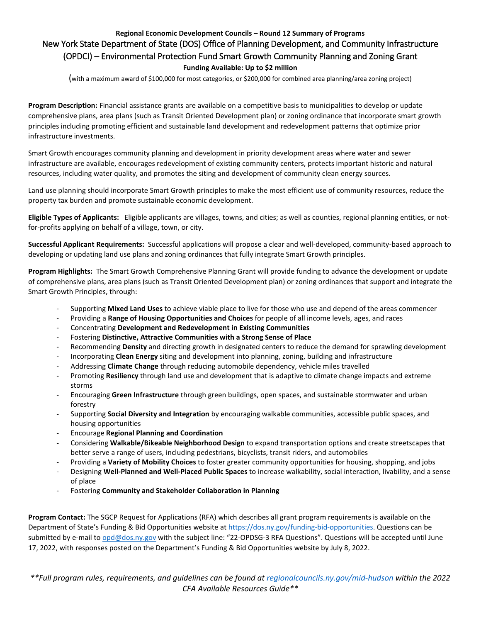# **Regional Economic Development Councils – Round 12 Summary of Programs** New York State Department of State (DOS) Office of Planning Development, and Community Infrastructure (OPDCI) – Environmental Protection Fund Smart Growth Community Planning and Zoning Grant **Funding Available: Up to \$2 million**

(with a maximum award of \$100,000 for most categories, or \$200,000 for combined area planning/area zoning project)

**Program Description:** Financial assistance grants are available on a competitive basis to municipalities to develop or update comprehensive plans, area plans (such as Transit Oriented Development plan) or zoning ordinance that incorporate smart growth principles including promoting efficient and sustainable land development and redevelopment patterns that optimize prior infrastructure investments.

Smart Growth encourages community planning and development in priority development areas where water and sewer infrastructure are available, encourages redevelopment of existing community centers, protects important historic and natural resources, including water quality, and promotes the siting and development of community clean energy sources.

Land use planning should incorporate Smart Growth principles to make the most efficient use of community resources, reduce the property tax burden and promote sustainable economic development.

**Eligible Types of Applicants:** Eligible applicants are villages, towns, and cities; as well as counties, regional planning entities, or notfor-profits applying on behalf of a village, town, or city.

**Successful Applicant Requirements:** Successful applications will propose a clear and well-developed, community-based approach to developing or updating land use plans and zoning ordinances that fully integrate Smart Growth principles.

**Program Highlights:** The Smart Growth Comprehensive Planning Grant will provide funding to advance the development or update of comprehensive plans, area plans (such as Transit Oriented Development plan) or zoning ordinances that support and integrate the Smart Growth Principles, through:

- Supporting **Mixed Land Uses** to achieve viable place to live for those who use and depend of the areas commencer
- Providing a **Range of Housing Opportunities and Choices** for people of all income levels, ages, and races
- Concentrating **Development and Redevelopment in Existing Communities**
- Fostering **Distinctive, Attractive Communities with a Strong Sense of Place**
- Recommending **Density** and directing growth in designated centers to reduce the demand for sprawling development
- Incorporating **Clean Energy** siting and development into planning, zoning, building and infrastructure
- Addressing **Climate Change** through reducing automobile dependency, vehicle miles travelled
- Promoting **Resiliency** through land use and development that is adaptive to climate change impacts and extreme storms
- Encouraging **Green Infrastructure** through green buildings, open spaces, and sustainable stormwater and urban forestry
- Supporting **Social Diversity and Integration** by encouraging walkable communities, accessible public spaces, and housing opportunities
- Encourage **Regional Planning and Coordination**
- Considering **Walkable/Bikeable Neighborhood Design** to expand transportation options and create streetscapes that better serve a range of users, including pedestrians, bicyclists, transit riders, and automobiles
- Providing a **Variety of Mobility Choices** to foster greater community opportunities for housing, shopping, and jobs
- Designing **Well-Planned and Well-Placed Public Spaces** to increase walkability, social interaction, livability, and a sense of place
- Fostering **Community and Stakeholder Collaboration in Planning**

**Program Contact:** The SGCP Request for Applications (RFA) which describes all grant program requirements is available on the Department of State's Funding & Bid Opportunities website at [https://dos.ny.gov/funding-bid-opportunities.](https://dos.ny.gov/funding-bid-opportunities) Questions can be submitted by e-mail to opd@dos.ny.gov with the subject line: "22-OPDSG-3 RFA Questions". Questions will be accepted until June 17, 2022, with responses posted on the Department's Funding & Bid Opportunities website by July 8, 2022.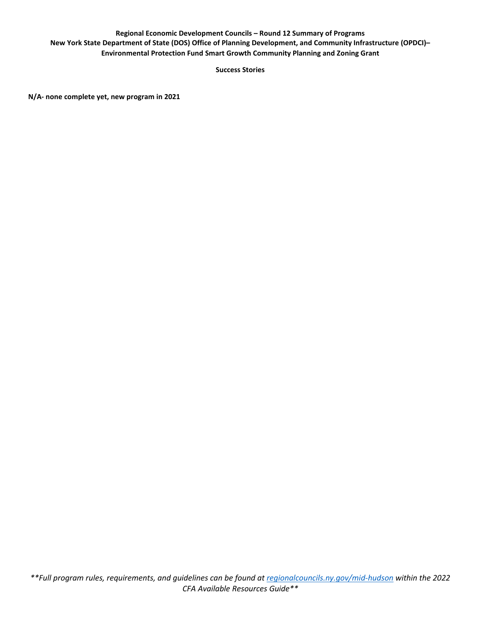# **Regional Economic Development Councils – Round 12 Summary of Programs New York State Department of State (DOS) Office of Planning Development, and Community Infrastructure (OPDCI)– Environmental Protection Fund Smart Growth Community Planning and Zoning Grant**

**Success Stories**

**N/A- none complete yet, new program in 2021**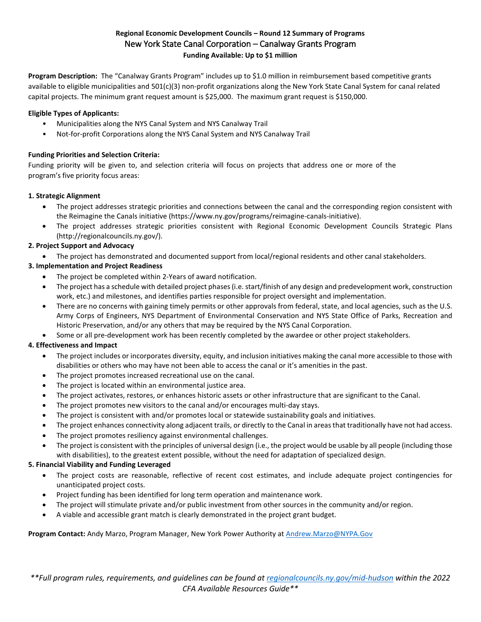# **Regional Economic Development Councils – Round 12 Summary of Programs** New York State Canal Corporation – Canalway Grants Program **Funding Available: Up to \$1 million**

**Program Description:** The "Canalway Grants Program" includes up to \$1.0 million in reimbursement based competitive grants available to eligible municipalities and 501(c)(3) non-profit organizations along the New York State Canal System for canal related capital projects. The minimum grant request amount is \$25,000. The maximum grant request is \$150,000.

# **Eligible Types of Applicants:**

- Municipalities along the NYS Canal System and NYS Canalway Trail
- Not-for-profit Corporations along the NYS Canal System and NYS Canalway Trail

# **Funding Priorities and Selection Criteria:**

Funding priority will be given to, and selection criteria will focus on projects that address one or more of the program's five priority focus areas:

# **1. Strategic Alignment**

- The project addresses strategic priorities and connections between the canal and the corresponding region consistent with the Reimagine the Canals initiative [\(https://www.ny.gov/programs/reimagine-canals-initiative\)](https://www.ny.gov/programs/reimagine-canals-initiative).
- The project addresses strategic priorities consistent with Regional Economic Development Councils Strategic Plans [\(http://regionalcouncils.ny.gov/\)](http://regionalcouncils.ny.gov/).

# **2. Project Support and Advocacy**

• The project has demonstrated and documented support from local/regional residents and other canal stakeholders.

# **3. Implementation and Project Readiness**

- The project be completed within 2-Years of award notification.
- The project has a schedule with detailed project phases (i.e. start/finish of any design and predevelopment work, construction work, etc.) and milestones, and identifies parties responsible for project oversight and implementation.
- There are no concerns with gaining timely permits or other approvals from federal, state, and local agencies, such as the U.S. Army Corps of Engineers, NYS Department of Environmental Conservation and NYS State Office of Parks, Recreation and Historic Preservation, and/or any others that may be required by the NYS Canal Corporation.
- Some or all pre-development work has been recently completed by the awardee or other project stakeholders.

# **4. Effectiveness and Impact**

- The project includes or incorporates diversity, equity, and inclusion initiatives making the canal more accessible to those with disabilities or others who may have not been able to access the canal or it's amenities in the past.
- The project promotes increased recreational use on the canal.
- The project is located within an environmental justice area.
- The project activates, restores, or enhances historic assets or other infrastructure that are significant to the Canal.
- The project promotes new visitors to the canal and/or encourages multi-day stays.
- The project is consistent with and/or promotes local or statewide sustainability goals and initiatives.
- The project enhances connectivity along adjacent trails, or directly to the Canal in areas that traditionally have not had access.
- The project promotes resiliency against environmental challenges.
- The project is consistent with the principles of universal design (i.e., the project would be usable by all people (including those with disabilities), to the greatest extent possible, without the need for adaptation of specialized design.

# **5. Financial Viability and Funding Leveraged**

- The project costs are reasonable, reflective of recent cost estimates, and include adequate project contingencies for unanticipated project costs.
- Project funding has been identified for long term operation and maintenance work.
- The project will stimulate private and/or public investment from other sources in the community and/or region.
- A viable and accessible grant match is clearly demonstrated in the project grant budget.

**Program Contact:** Andy Marzo, Program Manager, New York Power Authority at [Andrew.Marzo@NYPA.Gov](mailto:Andrew.Marzo@NYPA.Gov)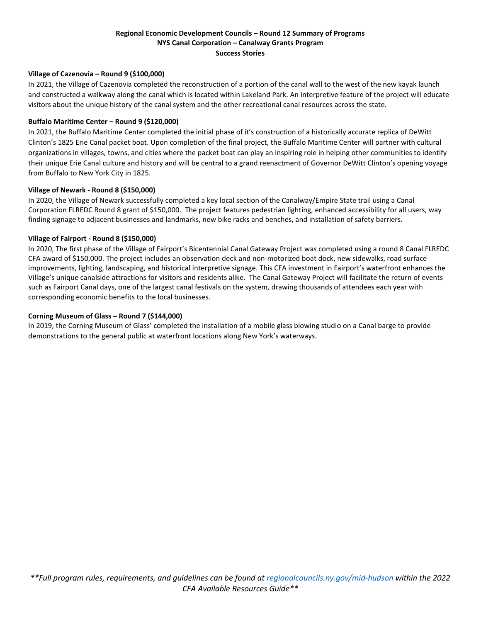# **Regional Economic Development Councils – Round 12 Summary of Programs NYS Canal Corporation – Canalway Grants Program Success Stories**

# **Village of Cazenovia – Round 9 (\$100,000)**

In 2021, the Village of Cazenovia completed the reconstruction of a portion of the canal wall to the west of the new kayak launch and constructed a walkway along the canal which is located within Lakeland Park. An interpretive feature of the project will educate visitors about the unique history of the canal system and the other recreational canal resources across the state.

#### **Buffalo Maritime Center – Round 9 (\$120,000)**

In 2021, the Buffalo Maritime Center completed the initial phase of it's construction of a historically accurate replica of DeWitt Clinton's 1825 Erie Canal packet boat. Upon completion of the final project, the Buffalo Maritime Center will partner with cultural organizations in villages, towns, and cities where the packet boat can play an inspiring role in helping other communities to identify their unique Erie Canal culture and history and will be central to a grand reenactment of Governor DeWitt Clinton's opening voyage from Buffalo to New York City in 1825.

#### **Village of Newark - Round 8 (\$150,000)**

In 2020, the Village of Newark successfully completed a key local section of the Canalway/Empire State trail using a Canal Corporation FLREDC Round 8 grant of \$150,000. The project features pedestrian lighting, enhanced accessibility for all users, way finding signage to adjacent businesses and landmarks, new bike racks and benches, and installation of safety barriers.

### **Village of Fairport - Round 8 (\$150,000)**

In 2020, The first phase of the Village of Fairport's Bicentennial Canal Gateway Project was completed using a round 8 Canal FLREDC CFA award of \$150,000. The project includes an observation deck and non-motorized boat dock, new sidewalks, road surface improvements, lighting, landscaping, and historical interpretive signage. This CFA investment in Fairport's waterfront enhances the Village's unique canalside attractions for visitors and residents alike. The Canal Gateway Project will facilitate the return of events such as Fairport Canal days, one of the largest canal festivals on the system, drawing thousands of attendees each year with corresponding economic benefits to the local businesses.

#### **Corning Museum of Glass – Round 7 (\$144,000)**

In 2019, the Corning Museum of Glass' completed the installation of a mobile glass blowing studio on a Canal barge to provide demonstrations to the general public at waterfront locations along New York's waterways.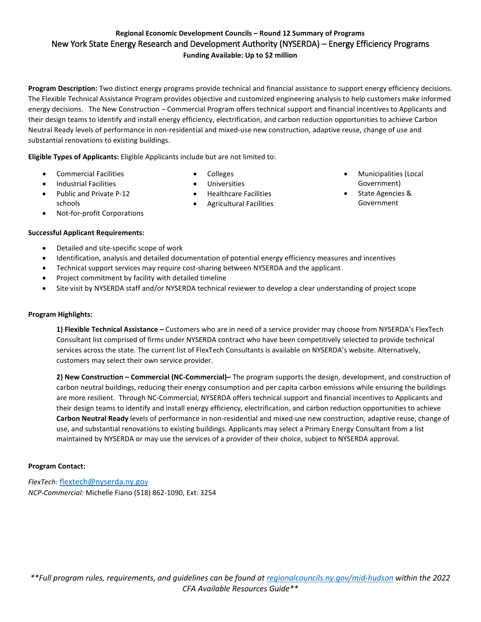# substantial renovations to existing buildings. **Eligible Types of Applicants:** Eligible Applicants include but are not limited to:

- Commercial Facilities
- Industrial Facilities
- Public and Private P-12 schools
- Colleges
- Healthcare Facilities
- 
- Municipalities (Local Government)
	- State Agencies & Government

• Not-for-profit Corporations

# **Successful Applicant Requirements:**

- Detailed and site-specific scope of work
- Identification, analysis and detailed documentation of potential energy efficiency measures and incentives
- Technical support services may require cost-sharing between NYSERDA and the applicant
- Project commitment by facility with detailed timeline
- Site visit by NYSERDA staff and/or NYSERDA technical reviewer to develop a clear understanding of project scope

# **Program Highlights:**

**1) Flexible Technical Assistance –** Customers who are in need of a service provider may choose from NYSERDA's FlexTech Consultant list comprised of firms under NYSERDA contract who have been competitively selected to provide technical services across the state. The current list of FlexTech Consultants is available on NYSERDA's website. Alternatively, customers may select their own service provider.

**2) New Construction – Commercial (NC-Commercial)–** The program supports the design, development, and construction of carbon neutral buildings, reducing their energy consumption and per capita carbon emissions while ensuring the buildings are more resilient. Through NC-Commercial, NYSERDA offers technical support and financial incentives to Applicants and their design teams to identify and install energy efficiency, electrification, and carbon reduction opportunities to achieve **Carbon Neutral Ready** levels of performance in non-residential and mixed-use new construction, adaptive reuse, change of use, and substantial renovations to existing buildings. Applicants may select a Primary Energy Consultant from a list maintained by NYSERDA or may use the services of a provider of their choice, subject to NYSERDA approval.

# **Program Contact:**

*FlexTech:* [flextech@nyserda.ny.gov](mailto:flextech@nyserda.ny.gov)  *NCP-Commercial:* Michelle Fiano (518) 862-1090, Ext: 3254

# **Regional Economic Development Councils – Round 12 Summary of Programs** New York State Energy Research and Development Authority (NYSERDA) – Energy Efficiency Programs **Funding Available: Up to \$2 million**

**Program Description:** Two distinct energy programs provide technical and financial assistance to support energy efficiency decisions. The Flexible Technical Assistance Program provides objective and customized engineering analysis to help customers make informed energy decisions. The New Construction – Commercial Program offers technical support and financial incentives to Applicants and their design teams to identify and install energy efficiency, electrification, and carbon reduction opportunities to achieve Carbon Neutral Ready levels of performance in non-residential and mixed-use new construction, adaptive reuse, change of use and

- Universities
	- Agricultural Facilities
-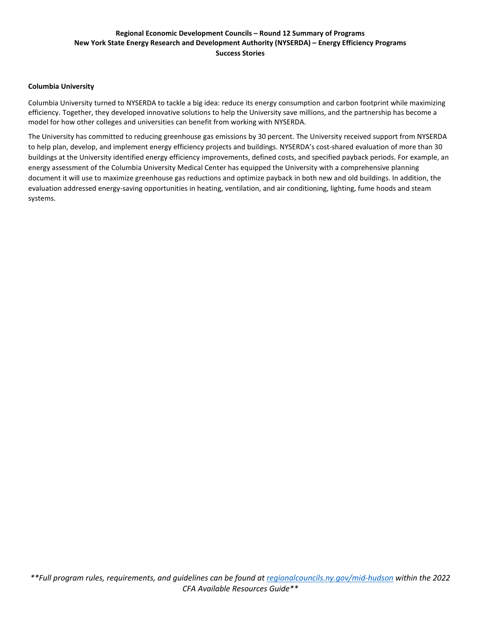# **Regional Economic Development Councils – Round 12 Summary of Programs New York State Energy Research and Development Authority (NYSERDA) – Energy Efficiency Programs Success Stories**

## **Columbia University**

Columbia University turned to NYSERDA to tackle a big idea: reduce its energy consumption and carbon footprint while maximizing efficiency. Together, they developed innovative solutions to help the University save millions, and the partnership has become a model for how other colleges and universities can benefit from working with NYSERDA.

The University has committed to reducing greenhouse gas emissions by 30 percent. The University received support from NYSERDA to help plan, develop, and implement energy efficiency projects and buildings. NYSERDA's cost-shared evaluation of more than 30 buildings at the University identified energy efficiency improvements, defined costs, and specified payback periods. For example, an energy assessment of the Columbia University Medical Center has equipped the University with a comprehensive planning document it will use to maximize greenhouse gas reductions and optimize payback in both new and old buildings. In addition, the evaluation addressed energy-saving opportunities in heating, ventilation, and air conditioning, lighting, fume hoods and steam systems.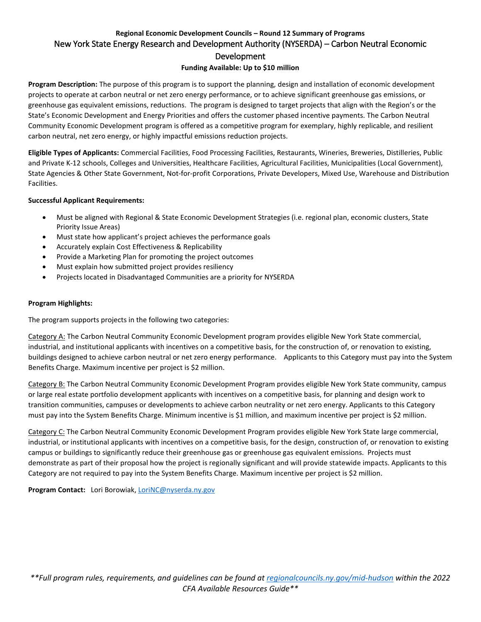# **Regional Economic Development Councils – Round 12 Summary of Programs** New York State Energy Research and Development Authority (NYSERDA) – Carbon Neutral Economic Development

# **Funding Available: Up to \$10 million**

**Program Description:** The purpose of this program is to support the planning, design and installation of economic development projects to operate at carbon neutral or net zero energy performance, or to achieve significant greenhouse gas emissions, or greenhouse gas equivalent emissions, reductions. The program is designed to target projects that align with the Region's or the State's Economic Development and Energy Priorities and offers the customer phased incentive payments. The Carbon Neutral Community Economic Development program is offered as a competitive program for exemplary, highly replicable, and resilient carbon neutral, net zero energy, or highly impactful emissions reduction projects.

**Eligible Types of Applicants:** Commercial Facilities, Food Processing Facilities, Restaurants, Wineries, Breweries, Distilleries, Public and Private K-12 schools, Colleges and Universities, Healthcare Facilities, Agricultural Facilities, Municipalities (Local Government), State Agencies & Other State Government, Not-for-profit Corporations, Private Developers, Mixed Use, Warehouse and Distribution Facilities.

# **Successful Applicant Requirements:**

- Must be aligned with Regional & State Economic Development Strategies (i.e. regional plan, economic clusters, State Priority Issue Areas)
- Must state how applicant's project achieves the performance goals
- Accurately explain Cost Effectiveness & Replicability
- Provide a Marketing Plan for promoting the project outcomes
- Must explain how submitted project provides resiliency
- Projects located in Disadvantaged Communities are a priority for NYSERDA

# **Program Highlights:**

The program supports projects in the following two categories:

Category A: The Carbon Neutral Community Economic Development program provides eligible New York State commercial, industrial, and institutional applicants with incentives on a competitive basis, for the construction of, or renovation to existing, buildings designed to achieve carbon neutral or net zero energy performance. Applicants to this Category must pay into the System Benefits Charge. Maximum incentive per project is \$2 million.

Category B: The Carbon Neutral Community Economic Development Program provides eligible New York State community, campus or large real estate portfolio development applicants with incentives on a competitive basis, for planning and design work to transition communities, campuses or developments to achieve carbon neutrality or net zero energy. Applicants to this Category must pay into the System Benefits Charge. Minimum incentive is \$1 million, and maximum incentive per project is \$2 million.

Category C: The Carbon Neutral Community Economic Development Program provides eligible New York State large commercial, industrial, or institutional applicants with incentives on a competitive basis, for the design, construction of, or renovation to existing campus or buildings to significantly reduce their greenhouse gas or greenhouse gas equivalent emissions. Projects must demonstrate as part of their proposal how the project is regionally significant and will provide statewide impacts. Applicants to this Category are not required to pay into the System Benefits Charge. Maximum incentive per project is \$2 million.

**Program Contact:** Lori Borowiak, [LoriNC@nyserda.ny.gov](mailto:LoriNC@nyserda.ny.gov)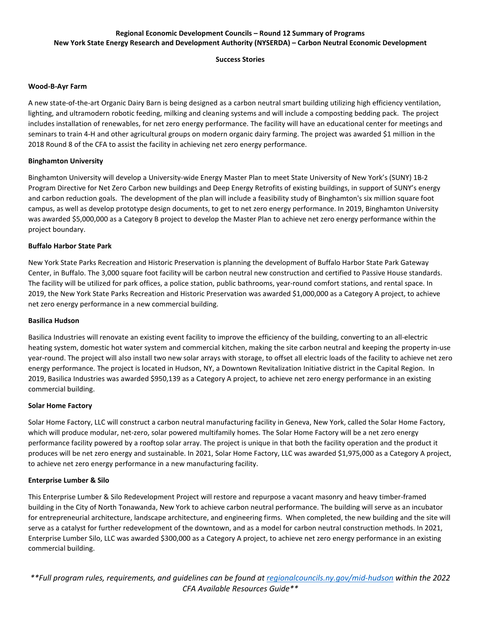# **Regional Economic Development Councils – Round 12 Summary of Programs New York State Energy Research and Development Authority (NYSERDA) – Carbon Neutral Economic Development**

### **Success Stories**

## **Wood-B-Ayr Farm**

A new state-of-the-art Organic Dairy Barn is being designed as a carbon neutral smart building utilizing high efficiency ventilation, lighting, and ultramodern robotic feeding, milking and cleaning systems and will include a composting bedding pack. The project includes installation of renewables, for net zero energy performance. The facility will have an educational center for meetings and seminars to train 4-H and other agricultural groups on modern organic dairy farming. The project was awarded \$1 million in the 2018 Round 8 of the CFA to assist the facility in achieving net zero energy performance.

### **Binghamton University**

Binghamton University will develop a University-wide Energy Master Plan to meet State University of New York's (SUNY) 1B-2 Program Directive for Net Zero Carbon new buildings and Deep Energy Retrofits of existing buildings, in support of SUNY's energy and carbon reduction goals. The development of the plan will include a feasibility study of Binghamton's six million square foot campus, as well as develop prototype design documents, to get to net zero energy performance. In 2019, Binghamton University was awarded \$5,000,000 as a Category B project to develop the Master Plan to achieve net zero energy performance within the project boundary.

### **Buffalo Harbor State Park**

New York State Parks Recreation and Historic Preservation is planning the development of Buffalo Harbor State Park Gateway Center, in Buffalo. The 3,000 square foot facility will be carbon neutral new construction and certified to Passive House standards. The facility will be utilized for park offices, a police station, public bathrooms, year-round comfort stations, and rental space. In 2019, the New York State Parks Recreation and Historic Preservation was awarded \$1,000,000 as a Category A project, to achieve net zero energy performance in a new commercial building.

#### **Basilica Hudson**

Basilica Industries will renovate an existing event facility to improve the efficiency of the building, converting to an all-electric heating system, domestic hot water system and commercial kitchen, making the site carbon neutral and keeping the property in-use year-round. The project will also install two new solar arrays with storage, to offset all electric loads of the facility to achieve net zero energy performance. The project is located in Hudson, NY, a Downtown Revitalization Initiative district in the Capital Region. In 2019, Basilica Industries was awarded \$950,139 as a Category A project, to achieve net zero energy performance in an existing commercial building.

#### **Solar Home Factory**

Solar Home Factory, LLC will construct a carbon neutral manufacturing facility in Geneva, New York, called the Solar Home Factory, which will produce modular, net-zero, solar powered multifamily homes. The Solar Home Factory will be a net zero energy performance facility powered by a rooftop solar array. The project is unique in that both the facility operation and the product it produces will be net zero energy and sustainable. In 2021, Solar Home Factory, LLC was awarded \$1,975,000 as a Category A project, to achieve net zero energy performance in a new manufacturing facility.

#### **Enterprise Lumber & Silo**

This Enterprise Lumber & Silo Redevelopment Project will restore and repurpose a vacant masonry and heavy timber-framed building in the City of North Tonawanda, New York to achieve carbon neutral performance. The building will serve as an incubator for entrepreneurial architecture, landscape architecture, and engineering firms. When completed, the new building and the site will serve as a catalyst for further redevelopment of the downtown, and as a model for carbon neutral construction methods. In 2021, Enterprise Lumber Silo, LLC was awarded \$300,000 as a Category A project, to achieve net zero energy performance in an existing commercial building.

*\*\*Full program rules, requirements, and guidelines can be found a[t regionalcouncils.ny.gov/mid-hudson](https://regionalcouncils.ny.gov/mid-hudson) within the 2022 CFA Available Resources Guide\*\**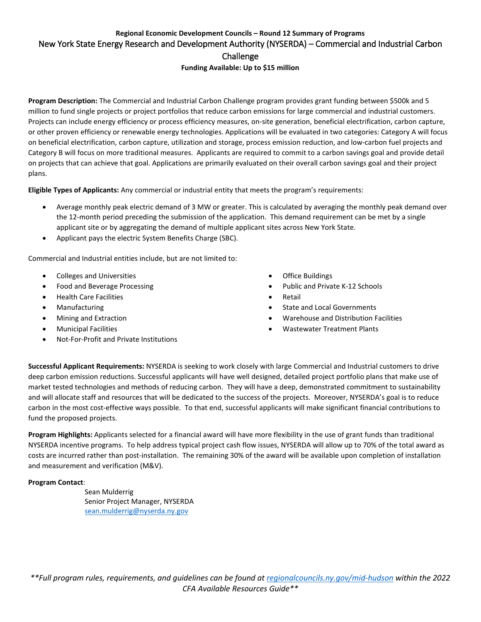# **Regional Economic Development Councils – Round 12 Summary of Programs** New York State Energy Research and Development Authority (NYSERDA) – Commercial and Industrial Carbon Challenge

**Funding Available: Up to \$15 million**

**Program Description:** The Commercial and Industrial Carbon Challenge program provides grant funding between \$500k and 5 million to fund single projects or project portfolios that reduce carbon emissions for large commercial and industrial customers. Projects can include energy efficiency or process efficiency measures, on-site generation, beneficial electrification, carbon capture, or other proven efficiency or renewable energy technologies. Applications will be evaluated in two categories: Category A will focus on beneficial electrification, carbon capture, utilization and storage, process emission reduction, and low-carbon fuel projects and Category B will focus on more traditional measures. Applicants are required to commit to a carbon savings goal and provide detail on projects that can achieve that goal. Applications are primarily evaluated on their overall carbon savings goal and their project plans.

**Eligible Types of Applicants:** Any commercial or industrial entity that meets the program's requirements:

- Average monthly peak electric demand of 3 MW or greater. This is calculated by averaging the monthly peak demand over the 12-month period preceding the submission of the application. This demand requirement can be met by a single applicant site or by aggregating the demand of multiple applicant sites across New York State.
- Applicant pays the electric System Benefits Charge (SBC).

Commercial and Industrial entities include, but are not limited to:

- Colleges and Universities
- Food and Beverage Processing
- Health Care Facilities
- **Manufacturing**
- Mining and Extraction
- Municipal Facilities
- Not-For-Profit and Private Institutions
- Office Buildings
- Public and Private K-12 Schools
- Retail
- State and Local Governments
- Warehouse and Distribution Facilities
- Wastewater Treatment Plants

**Successful Applicant Requirements:** NYSERDA is seeking to work closely with large Commercial and Industrial customers to drive deep carbon emission reductions. Successful applicants will have well designed, detailed project portfolio plans that make use of market tested technologies and methods of reducing carbon. They will have a deep, demonstrated commitment to sustainability and will allocate staff and resources that will be dedicated to the success of the projects. Moreover, NYSERDA's goal is to reduce carbon in the most cost-effective ways possible. To that end, successful applicants will make significant financial contributions to fund the proposed projects.

**Program Highlights:** Applicants selected for a financial award will have more flexibility in the use of grant funds than traditional NYSERDA incentive programs. To help address typical project cash flow issues, NYSERDA will allow up to 70% of the total award as costs are incurred rather than post-installation. The remaining 30% of the award will be available upon completion of installation and measurement and verification (M&V).

# **Program Contact**:

Sean Mulderrig Senior Project Manager, NYSERDA [sean.mulderrig@nyserda.ny.gov](mailto:sean.mulderrig@nyserda.ny.gov)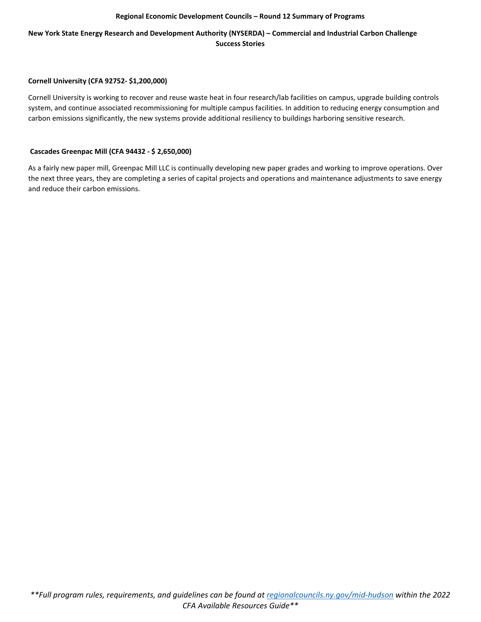# **New York State Energy Research and Development Authority (NYSERDA) – Commercial and Industrial Carbon Challenge Success Stories**

# **Cornell University (CFA 92752- \$1,200,000)**

Cornell University is working to recover and reuse waste heat in four research/lab facilities on campus, upgrade building controls system, and continue associated recommissioning for multiple campus facilities. In addition to reducing energy consumption and carbon emissions significantly, the new systems provide additional resiliency to buildings harboring sensitive research.

## **Cascades Greenpac Mill (CFA 94432 - \$ 2,650,000)**

As a fairly new paper mill, Greenpac Mill LLC is continually developing new paper grades and working to improve operations. Over the next three years, they are completing a series of capital projects and operations and maintenance adjustments to save energy and reduce their carbon emissions.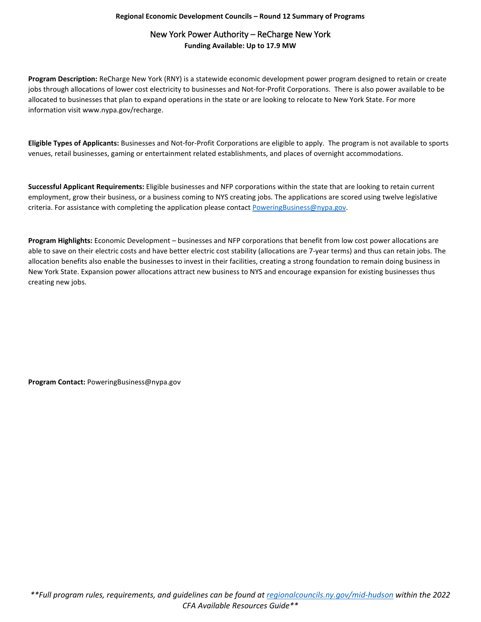# New York Power Authority – ReCharge New York **Funding Available: Up to 17.9 MW**

**Program Description:** ReCharge New York (RNY) is a statewide economic development power program designed to retain or create jobs through allocations of lower cost electricity to businesses and Not-for-Profit Corporations. There is also power available to be allocated to businesses that plan to expand operations in the state or are looking to relocate to New York State. For more information visit www.nypa.gov/recharge.

**Eligible Types of Applicants:** Businesses and Not-for-Profit Corporations are eligible to apply. The program is not available to sports venues, retail businesses, gaming or entertainment related establishments, and places of overnight accommodations.

**Successful Applicant Requirements:** Eligible businesses and NFP corporations within the state that are looking to retain current employment, grow their business, or a business coming to NYS creating jobs. The applications are scored using twelve legislative criteria. For assistance with completing the application please contac[t PoweringBusiness@nypa.gov.](mailto:PoweringBusiness@nypa.gov)

**Program Highlights:** Economic Development – businesses and NFP corporations that benefit from low cost power allocations are able to save on their electric costs and have better electric cost stability (allocations are 7-year terms) and thus can retain jobs. The allocation benefits also enable the businesses to invest in their facilities, creating a strong foundation to remain doing business in New York State. Expansion power allocations attract new business to NYS and encourage expansion for existing businesses thus creating new jobs.

**Program Contact:** PoweringBusiness@nypa.gov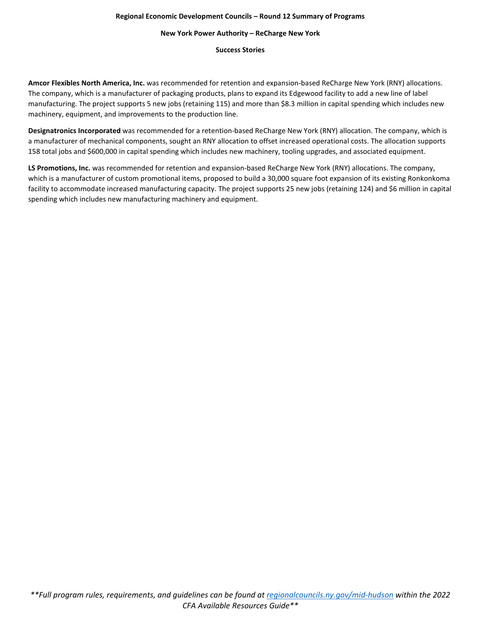#### **New York Power Authority – ReCharge New York**

### **Success Stories**

**Amcor Flexibles North America, Inc.** was recommended for retention and expansion-based ReCharge New York (RNY) allocations. The company, which is a manufacturer of packaging products, plans to expand its Edgewood facility to add a new line of label manufacturing. The project supports 5 new jobs (retaining 115) and more than \$8.3 million in capital spending which includes new machinery, equipment, and improvements to the production line.

**Designatronics Incorporated** was recommended for a retention-based ReCharge New York (RNY) allocation. The company, which is a manufacturer of mechanical components, sought an RNY allocation to offset increased operational costs. The allocation supports 158 total jobs and \$600,000 in capital spending which includes new machinery, tooling upgrades, and associated equipment.

**LS Promotions, Inc.** was recommended for retention and expansion-based ReCharge New York (RNY) allocations. The company, which is a manufacturer of custom promotional items, proposed to build a 30,000 square foot expansion of its existing Ronkonkoma facility to accommodate increased manufacturing capacity. The project supports 25 new jobs (retaining 124) and \$6 million in capital spending which includes new manufacturing machinery and equipment.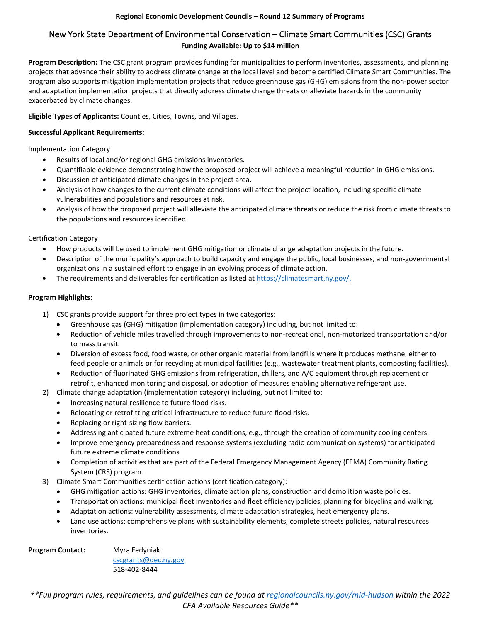# New York State Department of Environmental Conservation – Climate Smart Communities (CSC) Grants **Funding Available: Up to \$14 million**

**Program Description:** The CSC grant program provides funding for municipalities to perform inventories, assessments, and planning projects that advance their ability to address climate change at the local level and become certified Climate Smart Communities. The program also supports mitigation implementation projects that reduce greenhouse gas (GHG) emissions from the non-power sector and adaptation implementation projects that directly address climate change threats or alleviate hazards in the community exacerbated by climate changes.

**Eligible Types of Applicants:** Counties, Cities, Towns, and Villages.

# **Successful Applicant Requirements:**

Implementation Category

- Results of local and/or regional GHG emissions inventories.
- Quantifiable evidence demonstrating how the proposed project will achieve a meaningful reduction in GHG emissions.
- Discussion of anticipated climate changes in the project area.
- Analysis of how changes to the current climate conditions will affect the project location, including specific climate vulnerabilities and populations and resources at risk.
- Analysis of how the proposed project will alleviate the anticipated climate threats or reduce the risk from climate threats to the populations and resources identified.

# Certification Category

- How products will be used to implement GHG mitigation or climate change adaptation projects in the future.
- Description of the municipality's approach to build capacity and engage the public, local businesses, and non-governmental organizations in a sustained effort to engage in an evolving process of climate action.
- The requirements and deliverables for certification as listed a[t https://climatesmart.ny.gov/.](https://climatesmart.ny.gov/)

# **Program Highlights:**

- 1) CSC grants provide support for three project types in two categories:
	- Greenhouse gas (GHG) mitigation (implementation category) including, but not limited to:
	- Reduction of vehicle miles travelled through improvements to non-recreational, non-motorized transportation and/or to mass transit.
	- Diversion of excess food, food waste, or other organic material from landfills where it produces methane, either to feed people or animals or for recycling at municipal facilities (e.g., wastewater treatment plants, composting facilities).
	- Reduction of fluorinated GHG emissions from refrigeration, chillers, and A/C equipment through replacement or retrofit, enhanced monitoring and disposal, or adoption of measures enabling alternative refrigerant use.
- 2) Climate change adaptation (implementation category) including, but not limited to:
	- Increasing natural resilience to future flood risks.
	- Relocating or retrofitting critical infrastructure to reduce future flood risks.
	- Replacing or right-sizing flow barriers.
	- Addressing anticipated future extreme heat conditions, e.g., through the creation of community cooling centers.
	- Improve emergency preparedness and response systems (excluding radio communication systems) for anticipated future extreme climate conditions.
	- Completion of activities that are part of the Federal Emergency Management Agency (FEMA) Community Rating System (CRS) program.
- 3) Climate Smart Communities certification actions (certification category):
	- GHG mitigation actions: GHG inventories, climate action plans, construction and demolition waste policies.
	- Transportation actions: municipal fleet inventories and fleet efficiency policies, planning for bicycling and walking.
	- Adaptation actions: vulnerability assessments, climate adaptation strategies, heat emergency plans.
	- Land use actions: comprehensive plans with sustainability elements, complete streets policies, natural resources inventories.

**Program Contact:** Myra Fedyniak [cscgrants@dec.ny.gov](mailto:cscgrants@dec.ny.gov)  518-402-8444

*\*\*Full program rules, requirements, and guidelines can be found a[t regionalcouncils.ny.gov/mid-hudson](https://regionalcouncils.ny.gov/mid-hudson) within the 2022 CFA Available Resources Guide\*\**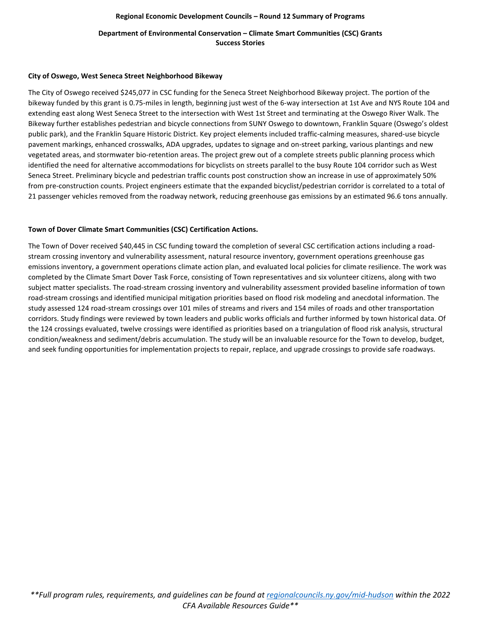# **Department of Environmental Conservation – Climate Smart Communities (CSC) Grants Success Stories**

#### **City of Oswego, West Seneca Street Neighborhood Bikeway**

The City of Oswego received \$245,077 in CSC funding for the Seneca Street Neighborhood Bikeway project. The portion of the bikeway funded by this grant is 0.75-miles in length, beginning just west of the 6-way intersection at 1st Ave and NYS Route 104 and extending east along West Seneca Street to the intersection with West 1st Street and terminating at the Oswego River Walk. The Bikeway further establishes pedestrian and bicycle connections from SUNY Oswego to downtown, Franklin Square (Oswego's oldest public park), and the Franklin Square Historic District. Key project elements included traffic-calming measures, shared-use bicycle pavement markings, enhanced crosswalks, ADA upgrades, updates to signage and on-street parking, various plantings and new vegetated areas, and stormwater bio-retention areas. The project grew out of a complete streets public planning process which identified the need for alternative accommodations for bicyclists on streets parallel to the busy Route 104 corridor such as West Seneca Street. Preliminary bicycle and pedestrian traffic counts post construction show an increase in use of approximately 50% from pre-construction counts. Project engineers estimate that the expanded bicyclist/pedestrian corridor is correlated to a total of 21 passenger vehicles removed from the roadway network, reducing greenhouse gas emissions by an estimated 96.6 tons annually.

### **Town of Dover Climate Smart Communities (CSC) Certification Actions.**

The Town of Dover received \$40,445 in CSC funding toward the completion of several CSC certification actions including a roadstream crossing inventory and vulnerability assessment, natural resource inventory, government operations greenhouse gas emissions inventory, a government operations climate action plan, and evaluated local policies for climate resilience. The work was completed by the Climate Smart Dover Task Force, consisting of Town representatives and six volunteer citizens, along with two subject matter specialists. The road-stream crossing inventory and vulnerability assessment provided baseline information of town road-stream crossings and identified municipal mitigation priorities based on flood risk modeling and anecdotal information. The study assessed 124 road-stream crossings over 101 miles of streams and rivers and 154 miles of roads and other transportation corridors. Study findings were reviewed by town leaders and public works officials and further informed by town historical data. Of the 124 crossings evaluated, twelve crossings were identified as priorities based on a triangulation of flood risk analysis, structural condition/weakness and sediment/debris accumulation. The study will be an invaluable resource for the Town to develop, budget, and seek funding opportunities for implementation projects to repair, replace, and upgrade crossings to provide safe roadways.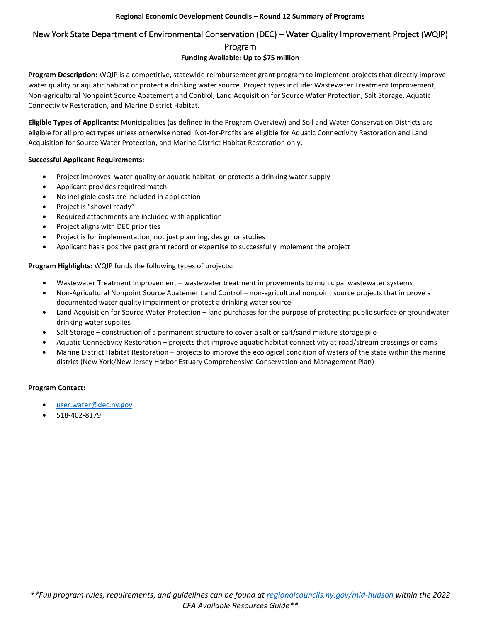# New York State Department of Environmental Conservation (DEC) – Water Quality Improvement Project (WQIP) Program

# **Funding Available: Up to \$75 million**

**Program Description:** WQIP is a competitive, statewide reimbursement grant program to implement projects that directly improve water quality or aquatic habitat or protect a drinking water source. Project types include: Wastewater Treatment Improvement, Non-agricultural Nonpoint Source Abatement and Control, Land Acquisition for Source Water Protection, Salt Storage, Aquatic Connectivity Restoration, and Marine District Habitat.

**Eligible Types of Applicants:** Municipalities (as defined in the Program Overview) and Soil and Water Conservation Districts are eligible for all project types unless otherwise noted. Not-for-Profits are eligible for Aquatic Connectivity Restoration and Land Acquisition for Source Water Protection, and Marine District Habitat Restoration only.

# **Successful Applicant Requirements:**

- Project improves water quality or aquatic habitat, or protects a drinking water supply
- Applicant provides required match
- No ineligible costs are included in application
- Project is "shovel ready"
- Required attachments are included with application
- Project aligns with DEC priorities
- Project is for implementation, not just planning, design or studies
- Applicant has a positive past grant record or expertise to successfully implement the project

**Program Highlights:** WQIP funds the following types of projects:

- Wastewater Treatment Improvement wastewater treatment improvements to municipal wastewater systems
- Non-Agricultural Nonpoint Source Abatement and Control non-agricultural nonpoint source projects that improve a documented water quality impairment or protect a drinking water source
- Land Acquisition for Source Water Protection land purchases for the purpose of protecting public surface or groundwater drinking water supplies
- Salt Storage construction of a permanent structure to cover a salt or salt/sand mixture storage pile
- Aquatic Connectivity Restoration projects that improve aquatic habitat connectivity at road/stream crossings or dams
- Marine District Habitat Restoration projects to improve the ecological condition of waters of the state within the marine district (New York/New Jersey Harbor Estuary Comprehensive Conservation and Management Plan)

# **Program Contact:**

- [user.water@dec.ny.gov](mailto:user.water@dec.ny.gov)
- 518-402-8179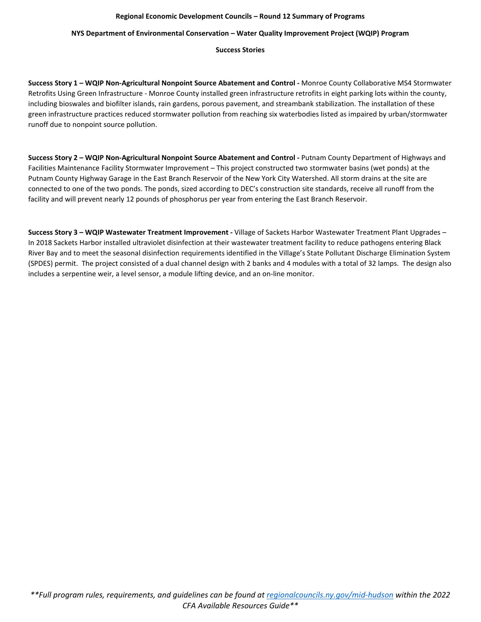### **NYS Department of Environmental Conservation – Water Quality Improvement Project (WQIP) Program**

### **Success Stories**

**Success Story 1 – WQIP Non-Agricultural Nonpoint Source Abatement and Control -** Monroe County Collaborative MS4 Stormwater Retrofits Using Green Infrastructure - Monroe County installed green infrastructure retrofits in eight parking lots within the county, including bioswales and biofilter islands, rain gardens, porous pavement, and streambank stabilization. The installation of these green infrastructure practices reduced stormwater pollution from reaching six waterbodies listed as impaired by urban/stormwater runoff due to nonpoint source pollution.

**Success Story 2 – WQIP Non-Agricultural Nonpoint Source Abatement and Control -** Putnam County Department of Highways and Facilities Maintenance Facility Stormwater Improvement – This project constructed two stormwater basins (wet ponds) at the Putnam County Highway Garage in the East Branch Reservoir of the New York City Watershed. All storm drains at the site are connected to one of the two ponds. The ponds, sized according to DEC's construction site standards, receive all runoff from the facility and will prevent nearly 12 pounds of phosphorus per year from entering the East Branch Reservoir.

**Success Story 3 – WQIP Wastewater Treatment Improvement -** Village of Sackets Harbor Wastewater Treatment Plant Upgrades – In 2018 Sackets Harbor installed ultraviolet disinfection at their wastewater treatment facility to reduce pathogens entering Black River Bay and to meet the seasonal disinfection requirements identified in the Village's State Pollutant Discharge Elimination System (SPDES) permit. The project consisted of a dual channel design with 2 banks and 4 modules with a total of 32 lamps. The design also includes a serpentine weir, a level sensor, a module lifting device, and an on-line monitor.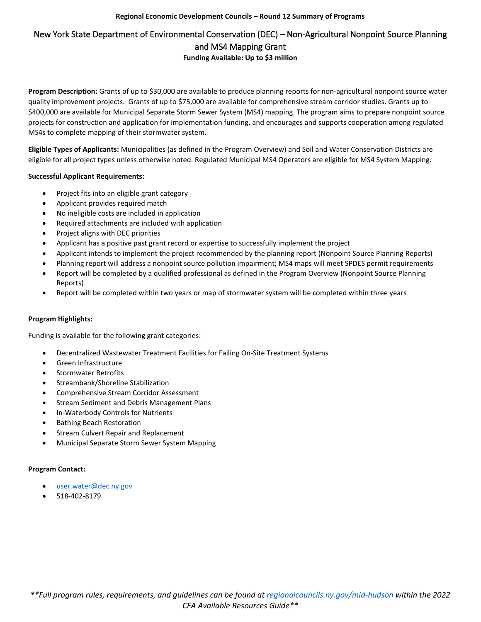# New York State Department of Environmental Conservation (DEC) – Non-Agricultural Nonpoint Source Planning and MS4 Mapping Grant

**Funding Available: Up to \$3 million**

**Program Description:** Grants of up to \$30,000 are available to produce planning reports for non-agricultural nonpoint source water quality improvement projects. Grants of up to \$75,000 are available for comprehensive stream corridor studies. Grants up to \$400,000 are available for Municipal Separate Storm Sewer System (MS4) mapping. The program aims to prepare nonpoint source projects for construction and application for implementation funding, and encourages and supports cooperation among regulated MS4s to complete mapping of their stormwater system.

**Eligible Types of Applicants:** Municipalities (as defined in the Program Overview) and Soil and Water Conservation Districts are eligible for all project types unless otherwise noted. Regulated Municipal MS4 Operators are eligible for MS4 System Mapping.

# **Successful Applicant Requirements:**

- Project fits into an eligible grant category
- Applicant provides required match
- No ineligible costs are included in application
- Required attachments are included with application
- Project aligns with DEC priorities
- Applicant has a positive past grant record or expertise to successfully implement the project
- Applicant intends to implement the project recommended by the planning report (Nonpoint Source Planning Reports)
- Planning report will address a nonpoint source pollution impairment; MS4 maps will meet SPDES permit requirements
- Report will be completed by a qualified professional as defined in the Program Overview (Nonpoint Source Planning Reports)
- Report will be completed within two years or map of stormwater system will be completed within three years

# **Program Highlights:**

Funding is available for the following grant categories:

- Decentralized Wastewater Treatment Facilities for Failing On-Site Treatment Systems
- Green Infrastructure
- Stormwater Retrofits
- Streambank/Shoreline Stabilization
- Comprehensive Stream Corridor Assessment
- Stream Sediment and Debris Management Plans
- In-Waterbody Controls for Nutrients
- Bathing Beach Restoration
- Stream Culvert Repair and Replacement
- Municipal Separate Storm Sewer System Mapping

# **Program Contact:**

- [user.water@dec.ny.gov](mailto:user.water@dec.ny.gov)
- 518-402-8179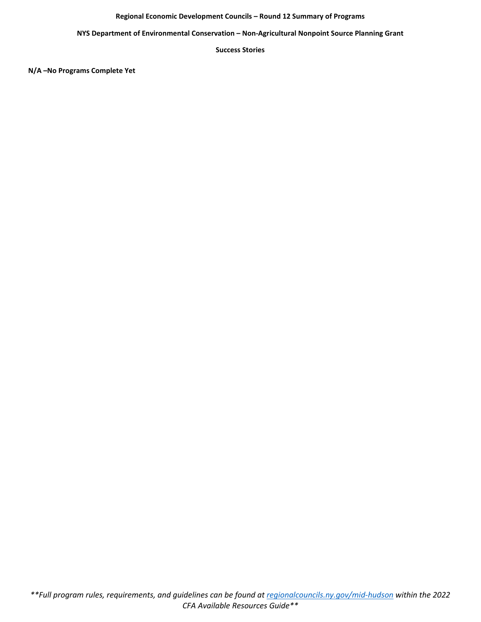**NYS Department of Environmental Conservation – Non-Agricultural Nonpoint Source Planning Grant** 

**Success Stories**

**N/A –No Programs Complete Yet**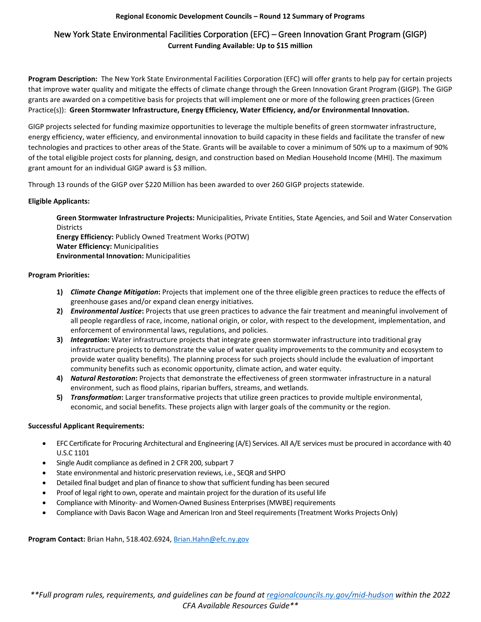# New York State Environmental Facilities Corporation (EFC) – Green Innovation Grant Program (GIGP) **Current Funding Available: Up to \$15 million**

**Program Description:** The New York State Environmental Facilities Corporation (EFC) will offer grants to help pay for certain projects that improve water quality and mitigate the effects of climate change through the Green Innovation Grant Program (GIGP). The GIGP grants are awarded on a competitive basis for projects that will implement one or more of the following green practices (Green Practice(s)): **Green Stormwater Infrastructure, Energy Efficiency, Water Efficiency, and/or Environmental Innovation.**

GIGP projects selected for funding maximize opportunities to leverage the multiple benefits of green stormwater infrastructure, energy efficiency, water efficiency, and environmental innovation to build capacity in these fields and facilitate the transfer of new technologies and practices to other areas of the State. Grants will be available to cover a minimum of 50% up to a maximum of 90% of the total eligible project costs for planning, design, and construction based on Median Household Income (MHI). The maximum grant amount for an individual GIGP award is \$3 million.

Through 13 rounds of the GIGP over \$220 Million has been awarded to over 260 GIGP projects statewide.

### **Eligible Applicants:**

**Green Stormwater Infrastructure Projects:** Municipalities, Private Entities, State Agencies, and Soil and Water Conservation **Districts** 

**Energy Efficiency:** Publicly Owned Treatment Works (POTW) **Water Efficiency:** Municipalities **Environmental Innovation:** Municipalities

### **Program Priorities:**

- **1)** *Climate Change Mitigation***:** Projects that implement one of the three eligible green practices to reduce the effects of greenhouse gases and/or expand clean energy initiatives.
- **2)** *Environmental Justice***:** Projects that use green practices to advance the fair treatment and meaningful involvement of all people regardless of race, income, national origin, or color, with respect to the development, implementation, and enforcement of environmental laws, regulations, and policies.
- **3)** *Integration***:** Water infrastructure projects that integrate green stormwater infrastructure into traditional gray infrastructure projects to demonstrate the value of water quality improvements to the community and ecosystem to provide water quality benefits). The planning process for such projects should include the evaluation of important community benefits such as economic opportunity, climate action, and water equity.
- **4)** *Natural Restoration***:** Projects that demonstrate the effectiveness of green stormwater infrastructure in a natural environment, such as flood plains, riparian buffers, streams, and wetlands.
- **5)** *Transformation***:** Larger transformative projects that utilize green practices to provide multiple environmental, economic, and social benefits. These projects align with larger goals of the community or the region.

# **Successful Applicant Requirements:**

- EFC Certificate for Procuring Architectural and Engineering (A/E) Services. All A/E services must be procured in accordance with 40 U.S.C 1101
- Single Audit compliance as defined in 2 CFR 200, subpart 7
- State environmental and historic preservation reviews, i.e., SEQR and SHPO
- Detailed final budget and plan of finance to show that sufficient funding has been secured
- Proof of legal right to own, operate and maintain project for the duration of its useful life
- Compliance with Minority- and Women-Owned Business Enterprises (MWBE) requirements
- Compliance with Davis Bacon Wage and American Iron and Steel requirements (Treatment Works Projects Only)

**Program Contact:** Brian Hahn, 518.402.6924, [Brian.Hahn@efc.ny.gov](mailto:Brian.Hahn@efc.ny.gov)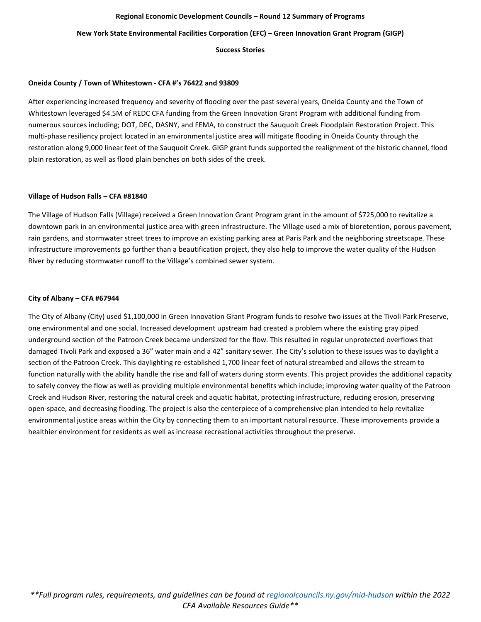#### **New York State Environmental Facilities Corporation (EFC) – Green Innovation Grant Program (GIGP)**

**Success Stories**

# **Oneida County / Town of Whitestown - CFA #'s 76422 and 93809**

After experiencing increased frequency and severity of flooding over the past several years, Oneida County and the Town of Whitestown leveraged \$4.5M of REDC CFA funding from the Green Innovation Grant Program with additional funding from numerous sources including; DOT, DEC, DASNY, and FEMA, to construct the Sauquoit Creek Floodplain Restoration Project. This multi-phase resiliency project located in an environmental justice area will mitigate flooding in Oneida County through the restoration along 9,000 linear feet of the Sauquoit Creek. GIGP grant funds supported the realignment of the historic channel, flood plain restoration, as well as flood plain benches on both sides of the creek.

#### **Village of Hudson Falls – CFA #81840**

The Village of Hudson Falls (Village) received a Green Innovation Grant Program grant in the amount of \$725,000 to revitalize a downtown park in an environmental justice area with green infrastructure. The Village used a mix of bioretention, porous pavement, rain gardens, and stormwater street trees to improve an existing parking area at Paris Park and the neighboring streetscape. These infrastructure improvements go further than a beautification project, they also help to improve the water quality of the Hudson River by reducing stormwater runoff to the Village's combined sewer system.

#### **City of Albany – CFA #67944**

The City of Albany (City) used \$1,100,000 in Green Innovation Grant Program funds to resolve two issues at the Tivoli Park Preserve, one environmental and one social. Increased development upstream had created a problem where the existing gray piped underground section of the Patroon Creek became undersized for the flow. This resulted in regular unprotected overflows that damaged Tivoli Park and exposed a 36" water main and a 42" sanitary sewer. The City's solution to these issues was to daylight a section of the Patroon Creek. This daylighting re-established 1,700 linear feet of natural streambed and allows the stream to function naturally with the ability handle the rise and fall of waters during storm events. This project provides the additional capacity to safely convey the flow as well as providing multiple environmental benefits which include; improving water quality of the Patroon Creek and Hudson River, restoring the natural creek and aquatic habitat, protecting infrastructure, reducing erosion, preserving open-space, and decreasing flooding. The project is also the centerpiece of a comprehensive plan intended to help revitalize environmental justice areas within the City by connecting them to an important natural resource. These improvements provide a healthier environment for residents as well as increase recreational activities throughout the preserve.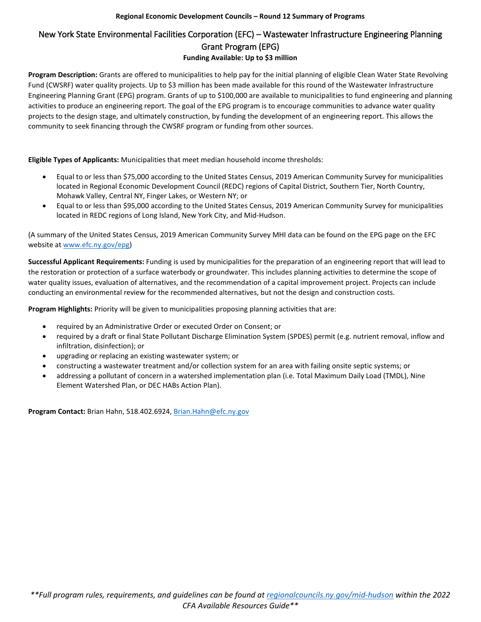# New York State Environmental Facilities Corporation (EFC) – Wastewater Infrastructure Engineering Planning Grant Program (EPG)

# **Funding Available: Up to \$3 million**

**Program Description:** Grants are offered to municipalities to help pay for the initial planning of eligible Clean Water State Revolving Fund (CWSRF) water quality projects. Up to \$3 million has been made available for this round of the Wastewater Infrastructure Engineering Planning Grant (EPG) program. Grants of up to \$100,000 are available to municipalities to fund engineering and planning activities to produce an engineering report. The goal of the EPG program is to encourage communities to advance water quality projects to the design stage, and ultimately construction, by funding the development of an engineering report. This allows the community to seek financing through the CWSRF program or funding from other sources.

**Eligible Types of Applicants:** Municipalities that meet median household income thresholds:

- Equal to or less than \$75,000 according to the United States Census, 2019 American Community Survey for municipalities located in Regional Economic Development Council (REDC) regions of Capital District, Southern Tier, North Country, Mohawk Valley, Central NY, Finger Lakes, or Western NY; or
- Equal to or less than \$95,000 according to the United States Census, 2019 American Community Survey for municipalities located in REDC regions of Long Island, New York City, and Mid-Hudson.

(A summary of the United States Census, 2019 American Community Survey MHI data can be found on the EPG page on the EFC website at www.efc.ny.gov/epg)

**Successful Applicant Requirements:** Funding is used by municipalities for the preparation of an engineering report that will lead to the restoration or protection of a surface waterbody or groundwater. This includes planning activities to determine the scope of water quality issues, evaluation of alternatives, and the recommendation of a capital improvement project. Projects can include conducting an environmental review for the recommended alternatives, but not the design and construction costs.

**Program Highlights:** Priority will be given to municipalities proposing planning activities that are:

- required by an Administrative Order or executed Order on Consent; or
- required by a draft or final State Pollutant Discharge Elimination System (SPDES) permit (e.g. nutrient removal, inflow and infiltration, disinfection); or
- upgrading or replacing an existing wastewater system; or
- constructing a wastewater treatment and/or collection system for an area with failing onsite septic systems; or
- addressing a pollutant of concern in a watershed implementation plan (i.e. Total Maximum Daily Load (TMDL), Nine Element Watershed Plan, or DEC HABs Action Plan).

**Program Contact:** Brian Hahn, 518.402.6924, [Brian.Hahn@efc.ny.gov](mailto:Brian.Hahn@efc.ny.gov)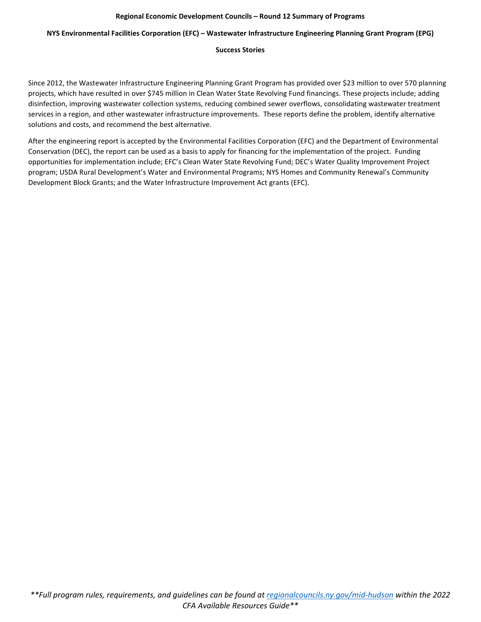# **NYS Environmental Facilities Corporation (EFC) – Wastewater Infrastructure Engineering Planning Grant Program (EPG)**

## **Success Stories**

Since 2012, the Wastewater Infrastructure Engineering Planning Grant Program has provided over \$23 million to over 570 planning projects, which have resulted in over \$745 million in Clean Water State Revolving Fund financings. These projects include; adding disinfection, improving wastewater collection systems, reducing combined sewer overflows, consolidating wastewater treatment services in a region, and other wastewater infrastructure improvements. These reports define the problem, identify alternative solutions and costs, and recommend the best alternative.

After the engineering report is accepted by the Environmental Facilities Corporation (EFC) and the Department of Environmental Conservation (DEC), the report can be used as a basis to apply for financing for the implementation of the project. Funding opportunities for implementation include; EFC's Clean Water State Revolving Fund; DEC's Water Quality Improvement Project program; USDA Rural Development's Water and Environmental Programs; NYS Homes and Community Renewal's Community Development Block Grants; and the Water Infrastructure Improvement Act grants (EFC).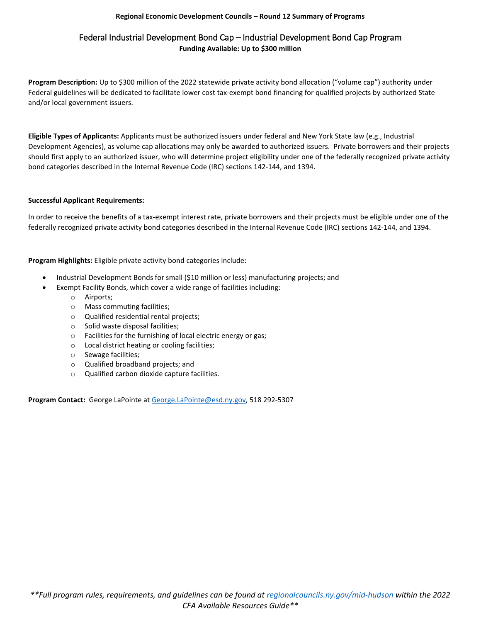# Federal Industrial Development Bond Cap – Industrial Development Bond Cap Program **Funding Available: Up to \$300 million**

**Program Description:** Up to \$300 million of the 2022 statewide private activity bond allocation ("volume cap") authority under Federal guidelines will be dedicated to facilitate lower cost tax-exempt bond financing for qualified projects by authorized State and/or local government issuers.

**Eligible Types of Applicants:** Applicants must be authorized issuers under federal and New York State law (e.g., Industrial Development Agencies), as volume cap allocations may only be awarded to authorized issuers. Private borrowers and their projects should first apply to an authorized issuer, who will determine project eligibility under one of the federally recognized private activity bond categories described in the Internal Revenue Code (IRC) sections 142-144, and 1394.

### **Successful Applicant Requirements:**

In order to receive the benefits of a tax-exempt interest rate, private borrowers and their projects must be eligible under one of the federally recognized private activity bond categories described in the Internal Revenue Code (IRC) sections 142-144, and 1394.

**Program Highlights:** Eligible private activity bond categories include:

- Industrial Development Bonds for small (\$10 million or less) manufacturing projects; and
- Exempt Facility Bonds, which cover a wide range of facilities including:
	- o Airports;
	- o Mass commuting facilities;
	- o Qualified residential rental projects;
	- o Solid waste disposal facilities;
	- o Facilities for the furnishing of local electric energy or gas;
	- o Local district heating or cooling facilities;
	- o Sewage facilities;
	- o Qualified broadband projects; and
	- o Qualified carbon dioxide capture facilities.

**Program Contact:** George LaPointe at [George.LaPointe@esd.ny.gov,](mailto:George.LaPointe@esd.ny.gov) 518 292-5307